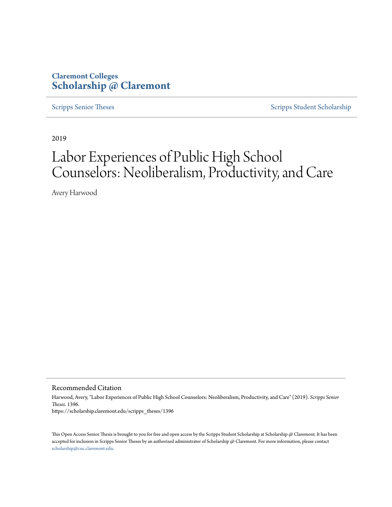# **Claremont Colleges [Scholarship @ Claremont](https://scholarship.claremont.edu)**

[Scripps Senior Theses](https://scholarship.claremont.edu/scripps_theses) [Scripps Student Scholarship](https://scholarship.claremont.edu/scripps_student)

2019

# Labor Experiences of Public High School Counselors: Neoliberalism, Productivity, and Care

Avery Harwood

Recommended Citation

Harwood, Avery, "Labor Experiences of Public High School Counselors: Neoliberalism, Productivity, and Care" (2019). *Scripps Senior Theses*. 1396. https://scholarship.claremont.edu/scripps\_theses/1396

This Open Access Senior Thesis is brought to you for free and open access by the Scripps Student Scholarship at Scholarship @ Claremont. It has been accepted for inclusion in Scripps Senior Theses by an authorized administrator of Scholarship @ Claremont. For more information, please contact [scholarship@cuc.claremont.edu.](mailto:scholarship@cuc.claremont.edu)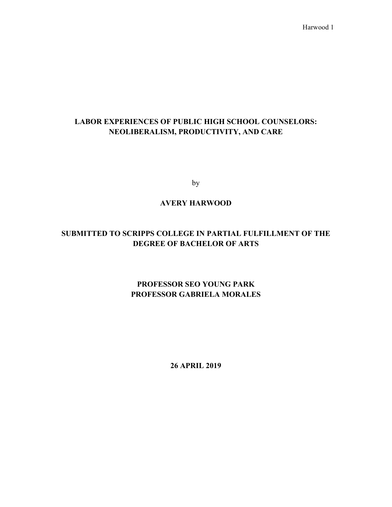# **LABOR EXPERIENCES OF PUBLIC HIGH SCHOOL COUNSELORS: NEOLIBERALISM, PRODUCTIVITY, AND CARE**

by

# **AVERY HARWOOD**

# **SUBMITTED TO SCRIPPS COLLEGE IN PARTIAL FULFILLMENT OF THE DEGREE OF BACHELOR OF ARTS**

# **PROFESSOR SEO YOUNG PARK PROFESSOR GABRIELA MORALES**

**26 APRIL 2019**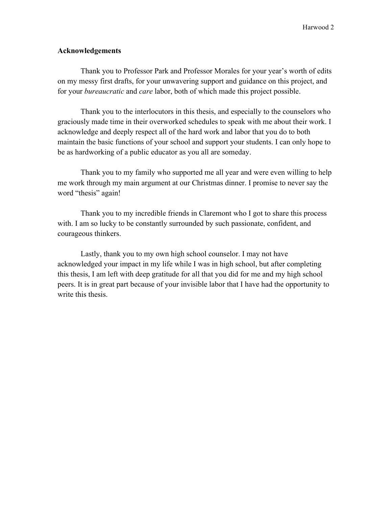# **Acknowledgements**

Thank you to Professor Park and Professor Morales for your year's worth of edits on my messy first drafts, for your unwavering support and guidance on this project, and for your *bureaucratic* and *care* labor, both of which made this project possible.

Thank you to the interlocutors in this thesis, and especially to the counselors who graciously made time in their overworked schedules to speak with me about their work. I acknowledge and deeply respect all of the hard work and labor that you do to both maintain the basic functions of your school and support your students. I can only hope to be as hardworking of a public educator as you all are someday.

Thank you to my family who supported me all year and were even willing to help me work through my main argument at our Christmas dinner. I promise to never say the word "thesis" again!

Thank you to my incredible friends in Claremont who I got to share this process with. I am so lucky to be constantly surrounded by such passionate, confident, and courageous thinkers.

Lastly, thank you to my own high school counselor. I may not have acknowledged your impact in my life while I was in high school, but after completing this thesis, I am left with deep gratitude for all that you did for me and my high school peers. It is in great part because of your invisible labor that I have had the opportunity to write this thesis.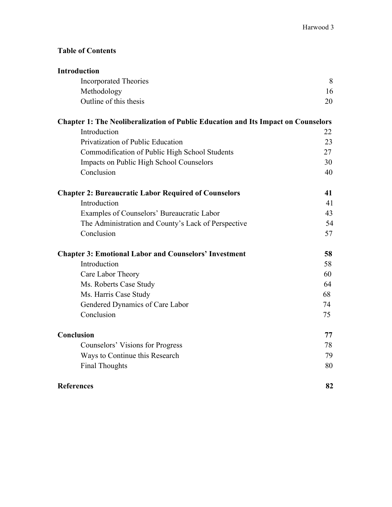# **Table of Contents**

| <b>Introduction</b>                                                                      |    |
|------------------------------------------------------------------------------------------|----|
| <b>Incorporated Theories</b>                                                             | 8  |
| Methodology                                                                              | 16 |
| Outline of this thesis                                                                   | 20 |
| <b>Chapter 1: The Neoliberalization of Public Education and Its Impact on Counselors</b> |    |
| Introduction                                                                             | 22 |
| Privatization of Public Education                                                        | 23 |
| Commodification of Public High School Students                                           | 27 |
| <b>Impacts on Public High School Counselors</b>                                          | 30 |
| Conclusion                                                                               | 40 |
| <b>Chapter 2: Bureaucratic Labor Required of Counselors</b>                              | 41 |
| Introduction                                                                             | 41 |
| Examples of Counselors' Bureaucratic Labor                                               | 43 |
| The Administration and County's Lack of Perspective                                      | 54 |
| Conclusion                                                                               | 57 |
| <b>Chapter 3: Emotional Labor and Counselors' Investment</b>                             | 58 |
| Introduction                                                                             | 58 |
| Care Labor Theory                                                                        | 60 |
| Ms. Roberts Case Study                                                                   | 64 |
| Ms. Harris Case Study                                                                    | 68 |
| Gendered Dynamics of Care Labor                                                          | 74 |
| Conclusion                                                                               | 75 |
| Conclusion                                                                               | 77 |
| Counselors' Visions for Progress                                                         | 78 |
| Ways to Continue this Research                                                           | 79 |
| <b>Final Thoughts</b>                                                                    | 80 |
| <b>References</b>                                                                        | 82 |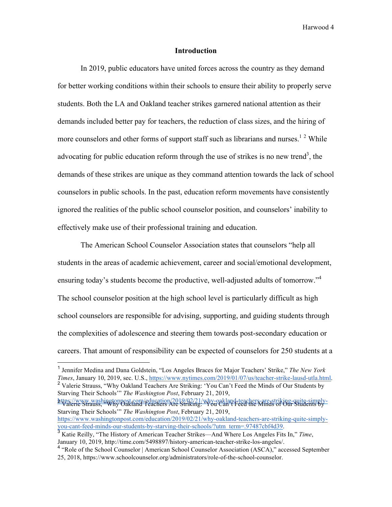# **Introduction**

In 2019, public educators have united forces across the country as they demand for better working conditions within their schools to ensure their ability to properly serve students. Both the LA and Oakland teacher strikes garnered national attention as their demands included better pay for teachers, the reduction of class sizes, and the hiring of more counselors and other forms of support staff such as librarians and nurses.<sup>12</sup> While advocating for public education reform through the use of strikes is no new trend<sup>3</sup>, the demands of these strikes are unique as they command attention towards the lack of school counselors in public schools. In the past, education reform movements have consistently ignored the realities of the public school counselor position, and counselors' inability to effectively make use of their professional training and education.

The American School Counselor Association states that counselors "help all students in the areas of academic achievement, career and social/emotional development, ensuring today's students become the productive, well-adjusted adults of tomorrow."<sup>4</sup> The school counselor position at the high school level is particularly difficult as high school counselors are responsible for advising, supporting, and guiding students through the complexities of adolescence and steering them towards post-secondary education or careers. That amount of responsibility can be expected of counselors for 250 students at a

Starving Their Schools'" *The Washington Post*, February 21, 2019,

https://www.washingtonpost.com/education/2019/02/21/why-oakland-teachers-are-striking-quite-simply-<br>Valerie Strauss, "Why Oakland Teachers Are Striking: 'You Can't Feed the Minds of Our Students by-Starving Their Schools'" *The Washington Post*, February 21, 2019, https://www.washingtonpost.com/education/2019/02/21/why-oakland-teachers-are-striking-quite-simply-<br>you-cant-feed-minds-our-students-by-starving-their-schools/?utm\_term=.97487cbf4d39.

<sup>&</sup>lt;sup>1</sup> Jennifer Medina and Dana Goldstein, "Los Angeles Braces for Major Teachers' Strike," *The New York Times*, January 10, 2019, sec. U.S., https://www.nytimes.com/2019/01/07/us/teacher-strike-lausd-utla.html. <sup>2</sup> Valerie Strauss, "Why Oakland Teachers Are Striking: 'You Can't Feed the Minds of Our Students by

<sup>&</sup>lt;sup>3</sup> Katie Reilly, "The History of American Teacher Strikes—And Where Los Angeles Fits In," *Time*, January 10, 2019, http://time.com/5498897/history-american-teacher-strike-los-angeles/.

<sup>4</sup> "Role of the School Counselor | American School Counselor Association (ASCA)," accessed September 25, 2018, https://www.schoolcounselor.org/administrators/role-of-the-school-counselor.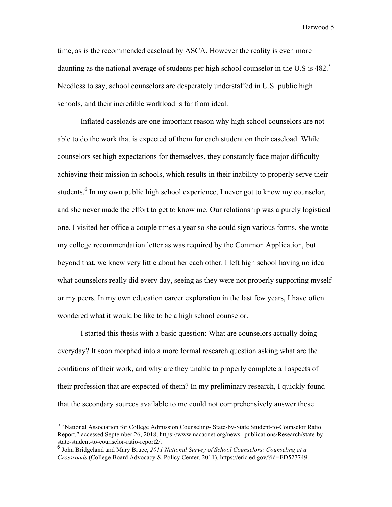time, as is the recommended caseload by ASCA. However the reality is even more daunting as the national average of students per high school counselor in the U.S is 482.<sup>5</sup> Needless to say, school counselors are desperately understaffed in U.S. public high schools, and their incredible workload is far from ideal.

Inflated caseloads are one important reason why high school counselors are not able to do the work that is expected of them for each student on their caseload. While counselors set high expectations for themselves, they constantly face major difficulty achieving their mission in schools, which results in their inability to properly serve their students.<sup>6</sup> In my own public high school experience, I never got to know my counselor, and she never made the effort to get to know me. Our relationship was a purely logistical one. I visited her office a couple times a year so she could sign various forms, she wrote my college recommendation letter as was required by the Common Application, but beyond that, we knew very little about her each other. I left high school having no idea what counselors really did every day, seeing as they were not properly supporting myself or my peers. In my own education career exploration in the last few years, I have often wondered what it would be like to be a high school counselor.

I started this thesis with a basic question: What are counselors actually doing everyday? It soon morphed into a more formal research question asking what are the conditions of their work, and why are they unable to properly complete all aspects of their profession that are expected of them? In my preliminary research, I quickly found that the secondary sources available to me could not comprehensively answer these

 <sup>5</sup> "National Association for College Admission Counseling- State-by-State Student-to-Counselor Ratio Report," accessed September 26, 2018, https://www.nacacnet.org/news--publications/Research/state-bystate-student-to-counselor-ratio-report2/.

<sup>6</sup> John Bridgeland and Mary Bruce, *2011 National Survey of School Counselors: Counseling at a Crossroads* (College Board Advocacy & Policy Center, 2011), https://eric.ed.gov/?id=ED527749.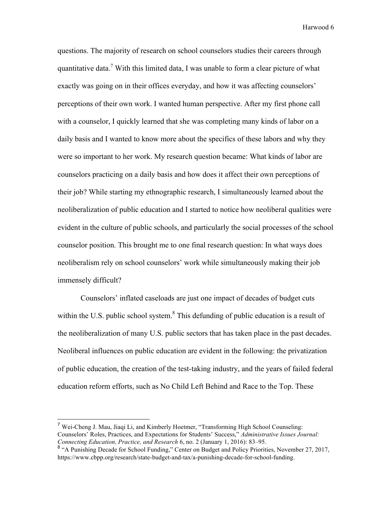questions. The majority of research on school counselors studies their careers through quantitative data.<sup>7</sup> With this limited data, I was unable to form a clear picture of what exactly was going on in their offices everyday, and how it was affecting counselors' perceptions of their own work. I wanted human perspective. After my first phone call with a counselor, I quickly learned that she was completing many kinds of labor on a daily basis and I wanted to know more about the specifics of these labors and why they were so important to her work. My research question became: What kinds of labor are counselors practicing on a daily basis and how does it affect their own perceptions of their job? While starting my ethnographic research, I simultaneously learned about the neoliberalization of public education and I started to notice how neoliberal qualities were evident in the culture of public schools, and particularly the social processes of the school counselor position. This brought me to one final research question: In what ways does neoliberalism rely on school counselors' work while simultaneously making their job immensely difficult?

Counselors' inflated caseloads are just one impact of decades of budget cuts within the U.S. public school system.<sup>8</sup> This defunding of public education is a result of the neoliberalization of many U.S. public sectors that has taken place in the past decades. Neoliberal influences on public education are evident in the following: the privatization of public education, the creation of the test-taking industry, and the years of failed federal education reform efforts, such as No Child Left Behind and Race to the Top. These

 <sup>7</sup> Wei-Cheng J. Mau, Jiaqi Li, and Kimberly Hoetmer, "Transforming High School Counseling: Counselors' Roles, Practices, and Expectations for Students' Success," *Administrative Issues Journal: Connecting Education, Practice, and Research* 6, no. 2 (January 1, 2016): 83–95.

<sup>&</sup>lt;sup>8</sup> "A Punishing Decade for School Funding," Center on Budget and Policy Priorities, November 27, 2017, https://www.cbpp.org/research/state-budget-and-tax/a-punishing-decade-for-school-funding.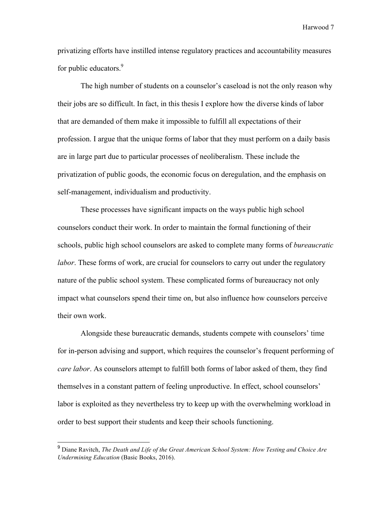privatizing efforts have instilled intense regulatory practices and accountability measures for public educators.<sup>9</sup>

The high number of students on a counselor's caseload is not the only reason why their jobs are so difficult. In fact, in this thesis I explore how the diverse kinds of labor that are demanded of them make it impossible to fulfill all expectations of their profession. I argue that the unique forms of labor that they must perform on a daily basis are in large part due to particular processes of neoliberalism. These include the privatization of public goods, the economic focus on deregulation, and the emphasis on self-management, individualism and productivity.

These processes have significant impacts on the ways public high school counselors conduct their work. In order to maintain the formal functioning of their schools, public high school counselors are asked to complete many forms of *bureaucratic labor*. These forms of work, are crucial for counselors to carry out under the regulatory nature of the public school system. These complicated forms of bureaucracy not only impact what counselors spend their time on, but also influence how counselors perceive their own work.

Alongside these bureaucratic demands, students compete with counselors' time for in-person advising and support, which requires the counselor's frequent performing of *care labor*. As counselors attempt to fulfill both forms of labor asked of them, they find themselves in a constant pattern of feeling unproductive. In effect, school counselors' labor is exploited as they nevertheless try to keep up with the overwhelming workload in order to best support their students and keep their schools functioning.

 <sup>9</sup> Diane Ravitch, *The Death and Life of the Great American School System: How Testing and Choice Are Undermining Education* (Basic Books, 2016).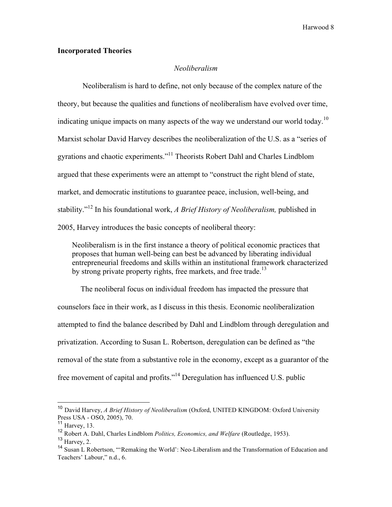# **Incorporated Theories**

#### *Neoliberalism*

Neoliberalism is hard to define, not only because of the complex nature of the theory, but because the qualities and functions of neoliberalism have evolved over time, indicating unique impacts on many aspects of the way we understand our world today.<sup>10</sup> Marxist scholar David Harvey describes the neoliberalization of the U.S. as a "series of gyrations and chaotic experiments."11 Theorists Robert Dahl and Charles Lindblom argued that these experiments were an attempt to "construct the right blend of state, market, and democratic institutions to guarantee peace, inclusion, well-being, and stability."<sup>12</sup> In his foundational work, *A Brief History of Neoliberalism,* published in 2005, Harvey introduces the basic concepts of neoliberal theory:

Neoliberalism is in the first instance a theory of political economic practices that proposes that human well-being can best be advanced by liberating individual entrepreneurial freedoms and skills within an institutional framework characterized by strong private property rights, free markets, and free trade.<sup>13</sup>

The neoliberal focus on individual freedom has impacted the pressure that counselors face in their work, as I discuss in this thesis. Economic neoliberalization attempted to find the balance described by Dahl and Lindblom through deregulation and privatization. According to Susan L. Robertson, deregulation can be defined as "the removal of the state from a substantive role in the economy, except as a guarantor of the free movement of capital and profits."<sup>14</sup> Deregulation has influenced U.S. public

 <sup>10</sup> David Harvey, *A Brief History of Neoliberalism* (Oxford, UNITED KINGDOM: Oxford University Press USA - OSO, 2005), 70. <sup>11</sup> Harvey, 13.

<sup>12</sup> Robert A. Dahl, Charles Lindblom *Politics, Economics, and Welfare* (Routledge, 1953).

 $13$  Harvey, 2.

<sup>&</sup>lt;sup>14</sup> Susan L Robertson, "'Remaking the World': Neo-Liberalism and the Transformation of Education and Teachers' Labour," n.d., 6.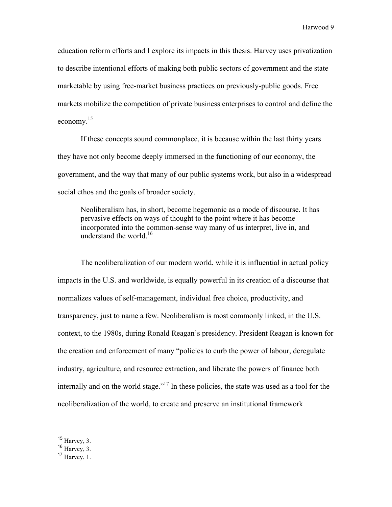education reform efforts and I explore its impacts in this thesis. Harvey uses privatization to describe intentional efforts of making both public sectors of government and the state marketable by using free-market business practices on previously-public goods. Free markets mobilize the competition of private business enterprises to control and define the economy. $15$ 

If these concepts sound commonplace, it is because within the last thirty years they have not only become deeply immersed in the functioning of our economy, the government, and the way that many of our public systems work, but also in a widespread social ethos and the goals of broader society.

Neoliberalism has, in short, become hegemonic as a mode of discourse. It has pervasive effects on ways of thought to the point where it has become incorporated into the common-sense way many of us interpret, live in, and understand the world.<sup>16</sup>

The neoliberalization of our modern world, while it is influential in actual policy impacts in the U.S. and worldwide, is equally powerful in its creation of a discourse that normalizes values of self-management, individual free choice, productivity, and transparency, just to name a few. Neoliberalism is most commonly linked, in the U.S. context, to the 1980s, during Ronald Reagan's presidency. President Reagan is known for the creation and enforcement of many "policies to curb the power of labour, deregulate industry, agriculture, and resource extraction, and liberate the powers of finance both internally and on the world stage."<sup>17</sup> In these policies, the state was used as a tool for the neoliberalization of the world, to create and preserve an institutional framework

 $15$  Harvey, 3.

 $16$  Harvey, 3.

 $17$  Harvey, 1.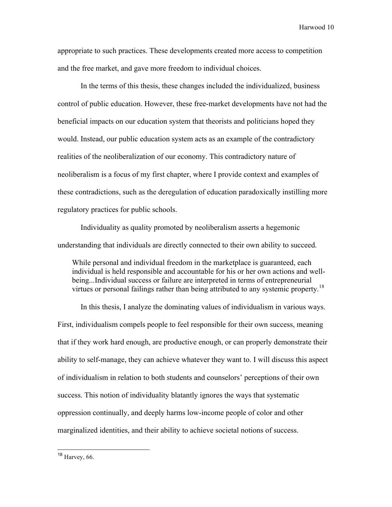appropriate to such practices. These developments created more access to competition and the free market, and gave more freedom to individual choices.

In the terms of this thesis, these changes included the individualized, business control of public education. However, these free-market developments have not had the beneficial impacts on our education system that theorists and politicians hoped they would. Instead, our public education system acts as an example of the contradictory realities of the neoliberalization of our economy. This contradictory nature of neoliberalism is a focus of my first chapter, where I provide context and examples of these contradictions, such as the deregulation of education paradoxically instilling more regulatory practices for public schools.

Individuality as quality promoted by neoliberalism asserts a hegemonic understanding that individuals are directly connected to their own ability to succeed.

While personal and individual freedom in the marketplace is guaranteed, each individual is held responsible and accountable for his or her own actions and wellbeing...Individual success or failure are interpreted in terms of entrepreneurial virtues or personal failings rather than being attributed to any systemic property.<sup>18</sup>

In this thesis, I analyze the dominating values of individualism in various ways. First, individualism compels people to feel responsible for their own success, meaning that if they work hard enough, are productive enough, or can properly demonstrate their ability to self-manage, they can achieve whatever they want to. I will discuss this aspect of individualism in relation to both students and counselors' perceptions of their own success. This notion of individuality blatantly ignores the ways that systematic oppression continually, and deeply harms low-income people of color and other marginalized identities, and their ability to achieve societal notions of success.

 <sup>18</sup> Harvey, 66.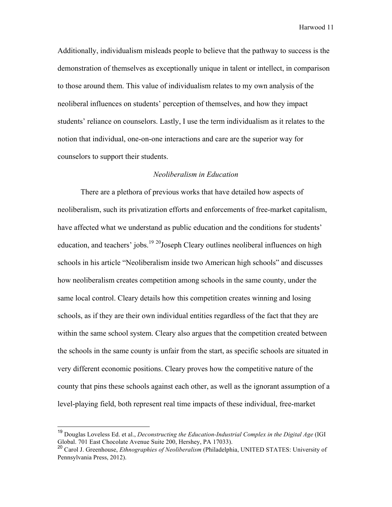Additionally, individualism misleads people to believe that the pathway to success is the demonstration of themselves as exceptionally unique in talent or intellect, in comparison to those around them. This value of individualism relates to my own analysis of the neoliberal influences on students' perception of themselves, and how they impact students' reliance on counselors. Lastly, I use the term individualism as it relates to the notion that individual, one-on-one interactions and care are the superior way for counselors to support their students.

#### *Neoliberalism in Education*

There are a plethora of previous works that have detailed how aspects of neoliberalism, such its privatization efforts and enforcements of free-market capitalism, have affected what we understand as public education and the conditions for students' education, and teachers' jobs.<sup>19 20</sup>Joseph Cleary outlines neoliberal influences on high schools in his article "Neoliberalism inside two American high schools" and discusses how neoliberalism creates competition among schools in the same county, under the same local control. Cleary details how this competition creates winning and losing schools, as if they are their own individual entities regardless of the fact that they are within the same school system. Cleary also argues that the competition created between the schools in the same county is unfair from the start, as specific schools are situated in very different economic positions. Cleary proves how the competitive nature of the county that pins these schools against each other, as well as the ignorant assumption of a level-playing field, both represent real time impacts of these individual, free-market

 <sup>19</sup> Douglas Loveless Ed. et al., *Deconstructing the Education-Industrial Complex in the Digital Age* (IGI Global. 701 East Chocolate Avenue Suite 200, Hershey, PA 17033).

<sup>20</sup> Carol J. Greenhouse, *Ethnographies of Neoliberalism* (Philadelphia, UNITED STATES: University of Pennsylvania Press, 2012).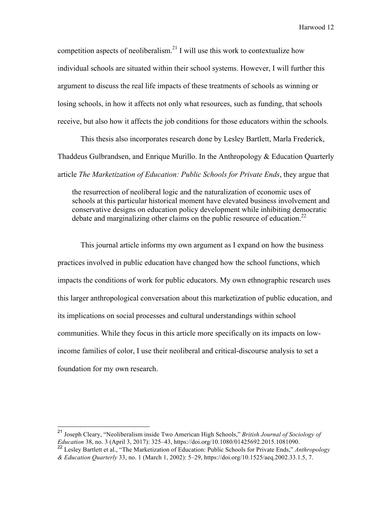competition aspects of neoliberalism.<sup>21</sup> I will use this work to contextualize how individual schools are situated within their school systems. However, I will further this argument to discuss the real life impacts of these treatments of schools as winning or losing schools, in how it affects not only what resources, such as funding, that schools receive, but also how it affects the job conditions for those educators within the schools.

This thesis also incorporates research done by Lesley Bartlett, Marla Frederick, Thaddeus Gulbrandsen, and Enrique Murillo. In the Anthropology & Education Quarterly article *The Marketization of Education: Public Schools for Private Ends*, they argue that

the resurrection of neoliberal logic and the naturalization of economic uses of schools at this particular historical moment have elevated business involvement and conservative designs on education policy development while inhibiting democratic debate and marginalizing other claims on the public resource of education.<sup>22</sup>

This journal article informs my own argument as I expand on how the business practices involved in public education have changed how the school functions, which impacts the conditions of work for public educators. My own ethnographic research uses this larger anthropological conversation about this marketization of public education, and its implications on social processes and cultural understandings within school communities. While they focus in this article more specifically on its impacts on lowincome families of color, I use their neoliberal and critical-discourse analysis to set a foundation for my own research.

 <sup>21</sup> Joseph Cleary, "Neoliberalism inside Two American High Schools," *British Journal of Sociology of Education* 38, no. 3 (April 3, 2017): 325–43, https://doi.org/10.1080/01425692.2015.1081090.

<sup>22</sup> Lesley Bartlett et al., "The Marketization of Education: Public Schools for Private Ends," *Anthropology & Education Quarterly* 33, no. 1 (March 1, 2002): 5–29, https://doi.org/10.1525/aeq.2002.33.1.5, 7.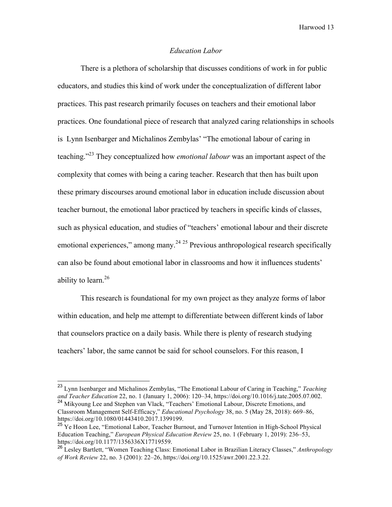#### *Education Labor*

There is a plethora of scholarship that discusses conditions of work in for public educators, and studies this kind of work under the conceptualization of different labor practices. This past research primarily focuses on teachers and their emotional labor practices. One foundational piece of research that analyzed caring relationships in schools is Lynn Isenbarger and Michalinos Zembylas' "The emotional labour of caring in teaching." <sup>23</sup> They conceptualized how *emotional labour* was an important aspect of the complexity that comes with being a caring teacher. Research that then has built upon these primary discourses around emotional labor in education include discussion about teacher burnout, the emotional labor practiced by teachers in specific kinds of classes, such as physical education, and studies of "teachers' emotional labour and their discrete emotional experiences," among many.<sup>24, 25</sup> Previous anthropological research specifically can also be found about emotional labor in classrooms and how it influences students' ability to learn. $26$ 

This research is foundational for my own project as they analyze forms of labor within education, and help me attempt to differentiate between different kinds of labor that counselors practice on a daily basis. While there is plenty of research studying teachers' labor, the same cannot be said for school counselors. For this reason, I

 <sup>23</sup> Lynn Isenbarger and Michalinos Zembylas, "The Emotional Labour of Caring in Teaching," *Teaching and Teacher Education* 22, no. 1 (January 1, 2006): 120–34, https://doi.org/10.1016/j.tate.2005.07.002.

<sup>&</sup>lt;sup>24</sup> Mikyoung Lee and Stephen van Vlack, "Teachers' Emotional Labour, Discrete Emotions, and Classroom Management Self-Efficacy," *Educational Psychology* 38, no. 5 (May 28, 2018): 669–86, https://doi.org/10.1080/01443410.2017.1399199.

<sup>&</sup>lt;sup>25</sup> Ye Hoon Lee, "Emotional Labor, Teacher Burnout, and Turnover Intention in High-School Physical Education Teaching," *European Physical Education Review* 25, no. 1 (February 1, 2019): 236–53, https://doi.org/10.1177/1356336X17719559.

<sup>26</sup> Lesley Bartlett, "Women Teaching Class: Emotional Labor in Brazilian Literacy Classes," *Anthropology of Work Review* 22, no. 3 (2001): 22–26, https://doi.org/10.1525/awr.2001.22.3.22.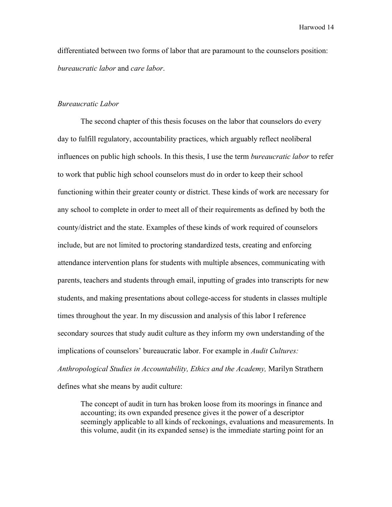differentiated between two forms of labor that are paramount to the counselors position: *bureaucratic labor* and *care labor*.

#### *Bureaucratic Labor*

The second chapter of this thesis focuses on the labor that counselors do every day to fulfill regulatory, accountability practices, which arguably reflect neoliberal influences on public high schools. In this thesis, I use the term *bureaucratic labor* to refer to work that public high school counselors must do in order to keep their school functioning within their greater county or district. These kinds of work are necessary for any school to complete in order to meet all of their requirements as defined by both the county/district and the state. Examples of these kinds of work required of counselors include, but are not limited to proctoring standardized tests, creating and enforcing attendance intervention plans for students with multiple absences, communicating with parents, teachers and students through email, inputting of grades into transcripts for new students, and making presentations about college-access for students in classes multiple times throughout the year. In my discussion and analysis of this labor I reference secondary sources that study audit culture as they inform my own understanding of the implications of counselors' bureaucratic labor. For example in *Audit Cultures: Anthropological Studies in Accountability, Ethics and the Academy,* Marilyn Strathern defines what she means by audit culture:

The concept of audit in turn has broken loose from its moorings in finance and accounting; its own expanded presence gives it the power of a descriptor seemingly applicable to all kinds of reckonings, evaluations and measurements. In this volume, audit (in its expanded sense) is the immediate starting point for an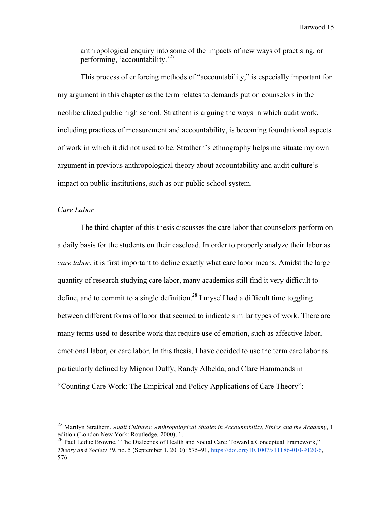anthropological enquiry into some of the impacts of new ways of practising, or performing, 'accountability.'<sup>27</sup>

This process of enforcing methods of "accountability," is especially important for my argument in this chapter as the term relates to demands put on counselors in the neoliberalized public high school. Strathern is arguing the ways in which audit work, including practices of measurement and accountability, is becoming foundational aspects of work in which it did not used to be. Strathern's ethnography helps me situate my own argument in previous anthropological theory about accountability and audit culture's impact on public institutions, such as our public school system.

# *Care Labor*

The third chapter of this thesis discusses the care labor that counselors perform on a daily basis for the students on their caseload. In order to properly analyze their labor as *care labor*, it is first important to define exactly what care labor means. Amidst the large quantity of research studying care labor, many academics still find it very difficult to define, and to commit to a single definition.<sup>28</sup> I myself had a difficult time toggling between different forms of labor that seemed to indicate similar types of work. There are many terms used to describe work that require use of emotion, such as affective labor, emotional labor, or care labor. In this thesis, I have decided to use the term care labor as particularly defined by Mignon Duffy, Randy Albelda, and Clare Hammonds in "Counting Care Work: The Empirical and Policy Applications of Care Theory":

 <sup>27</sup> Marilyn Strathern, *Audit Cultures: Anthropological Studies in Accountability, Ethics and the Academy*, 1 edition (London New York: Routledge, 2000), 1.

<sup>&</sup>lt;sup>28</sup> Paul Leduc Browne, "The Dialectics of Health and Social Care: Toward a Conceptual Framework," *Theory and Society* 39, no. 5 (September 1, 2010): 575–91, https://doi.org/10.1007/s11186-010-9120-6, 576.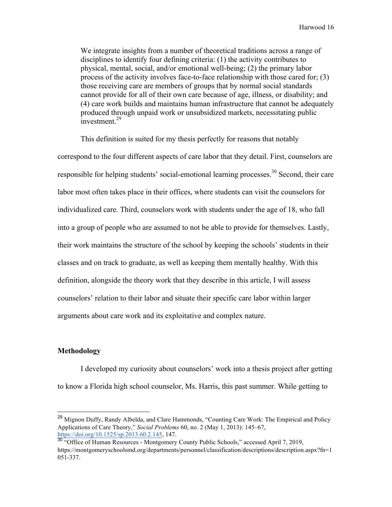We integrate insights from a number of theoretical traditions across a range of disciplines to identify four defining criteria: (1) the activity contributes to physical, mental, social, and/or emotional well-being; (2) the primary labor process of the activity involves face-to-face relationship with those cared for; (3) those receiving care are members of groups that by normal social standards cannot provide for all of their own care because of age, illness, or disability; and (4) care work builds and maintains human infrastructure that cannot be adequately produced through unpaid work or unsubsidized markets, necessitating public investment.<sup>29</sup>

This definition is suited for my thesis perfectly for reasons that notably correspond to the four different aspects of care labor that they detail. First, counselors are responsible for helping students' social-emotional learning processes.<sup>30</sup> Second, their care labor most often takes place in their offices, where students can visit the counselors for individualized care. Third, counselors work with students under the age of 18, who fall into a group of people who are assumed to not be able to provide for themselves. Lastly, their work maintains the structure of the school by keeping the schools' students in their classes and on track to graduate, as well as keeping them mentally healthy. With this definition, alongside the theory work that they describe in this article, I will assess counselors' relation to their labor and situate their specific care labor within larger arguments about care work and its exploitative and complex nature.

# **Methodology**

I developed my curiosity about counselors' work into a thesis project after getting to know a Florida high school counselor, Ms. Harris, this past summer. While getting to

<sup>&</sup>lt;sup>29</sup> Mignon Duffy, Randy Albelda, and Clare Hammonds, "Counting Care Work: The Empirical and Policy Applications of Care Theory," *Social Problems* 60, no. 2 (May 1, 2013): 145–67, https://doi.org/10.1525/sp.2013.60.2.145, 147.

<sup>&</sup>lt;sup>30</sup> "Office of Human Resources - Montgomery County Public Schools," accessed April 7, 2019, https://montgomeryschoolsmd.org/departments/personnel/classification/descriptions/description.aspx?fn=1 051-337.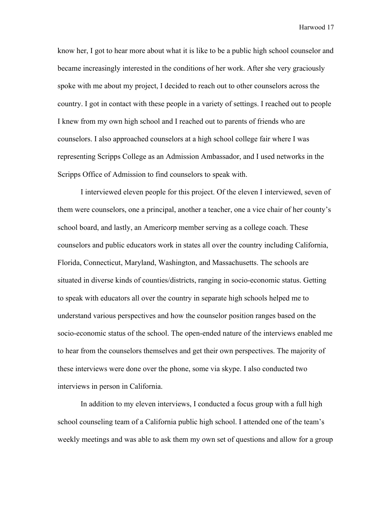know her, I got to hear more about what it is like to be a public high school counselor and became increasingly interested in the conditions of her work. After she very graciously spoke with me about my project, I decided to reach out to other counselors across the country. I got in contact with these people in a variety of settings. I reached out to people I knew from my own high school and I reached out to parents of friends who are counselors. I also approached counselors at a high school college fair where I was representing Scripps College as an Admission Ambassador, and I used networks in the Scripps Office of Admission to find counselors to speak with.

I interviewed eleven people for this project. Of the eleven I interviewed, seven of them were counselors, one a principal, another a teacher, one a vice chair of her county's school board, and lastly, an Americorp member serving as a college coach. These counselors and public educators work in states all over the country including California, Florida, Connecticut, Maryland, Washington, and Massachusetts. The schools are situated in diverse kinds of counties/districts, ranging in socio-economic status. Getting to speak with educators all over the country in separate high schools helped me to understand various perspectives and how the counselor position ranges based on the socio-economic status of the school. The open-ended nature of the interviews enabled me to hear from the counselors themselves and get their own perspectives. The majority of these interviews were done over the phone, some via skype. I also conducted two interviews in person in California.

In addition to my eleven interviews, I conducted a focus group with a full high school counseling team of a California public high school. I attended one of the team's weekly meetings and was able to ask them my own set of questions and allow for a group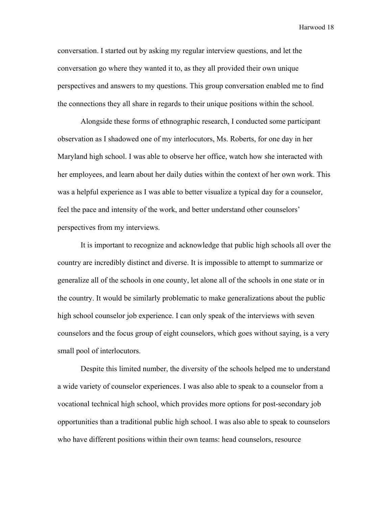conversation. I started out by asking my regular interview questions, and let the conversation go where they wanted it to, as they all provided their own unique perspectives and answers to my questions. This group conversation enabled me to find the connections they all share in regards to their unique positions within the school.

Alongside these forms of ethnographic research, I conducted some participant observation as I shadowed one of my interlocutors, Ms. Roberts, for one day in her Maryland high school. I was able to observe her office, watch how she interacted with her employees, and learn about her daily duties within the context of her own work. This was a helpful experience as I was able to better visualize a typical day for a counselor, feel the pace and intensity of the work, and better understand other counselors' perspectives from my interviews.

It is important to recognize and acknowledge that public high schools all over the country are incredibly distinct and diverse. It is impossible to attempt to summarize or generalize all of the schools in one county, let alone all of the schools in one state or in the country. It would be similarly problematic to make generalizations about the public high school counselor job experience. I can only speak of the interviews with seven counselors and the focus group of eight counselors, which goes without saying, is a very small pool of interlocutors.

Despite this limited number, the diversity of the schools helped me to understand a wide variety of counselor experiences. I was also able to speak to a counselor from a vocational technical high school, which provides more options for post-secondary job opportunities than a traditional public high school. I was also able to speak to counselors who have different positions within their own teams: head counselors, resource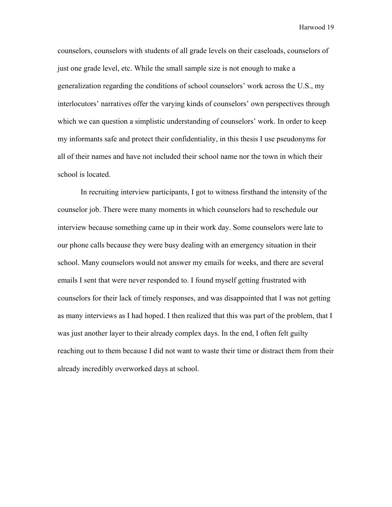counselors, counselors with students of all grade levels on their caseloads, counselors of just one grade level, etc. While the small sample size is not enough to make a generalization regarding the conditions of school counselors' work across the U.S., my interlocutors' narratives offer the varying kinds of counselors' own perspectives through which we can question a simplistic understanding of counselors' work. In order to keep my informants safe and protect their confidentiality, in this thesis I use pseudonyms for all of their names and have not included their school name nor the town in which their school is located.

In recruiting interview participants, I got to witness firsthand the intensity of the counselor job. There were many moments in which counselors had to reschedule our interview because something came up in their work day. Some counselors were late to our phone calls because they were busy dealing with an emergency situation in their school. Many counselors would not answer my emails for weeks, and there are several emails I sent that were never responded to. I found myself getting frustrated with counselors for their lack of timely responses, and was disappointed that I was not getting as many interviews as I had hoped. I then realized that this was part of the problem, that I was just another layer to their already complex days. In the end, I often felt guilty reaching out to them because I did not want to waste their time or distract them from their already incredibly overworked days at school.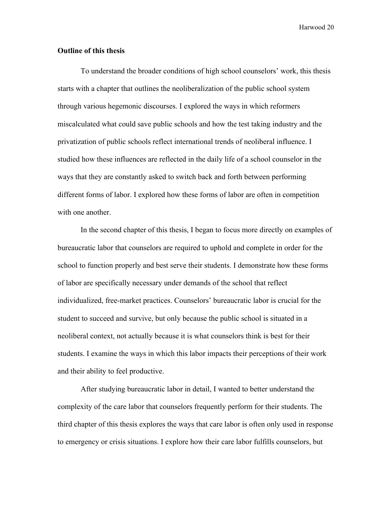### **Outline of this thesis**

To understand the broader conditions of high school counselors' work, this thesis starts with a chapter that outlines the neoliberalization of the public school system through various hegemonic discourses. I explored the ways in which reformers miscalculated what could save public schools and how the test taking industry and the privatization of public schools reflect international trends of neoliberal influence. I studied how these influences are reflected in the daily life of a school counselor in the ways that they are constantly asked to switch back and forth between performing different forms of labor. I explored how these forms of labor are often in competition with one another.

In the second chapter of this thesis, I began to focus more directly on examples of bureaucratic labor that counselors are required to uphold and complete in order for the school to function properly and best serve their students. I demonstrate how these forms of labor are specifically necessary under demands of the school that reflect individualized, free-market practices. Counselors' bureaucratic labor is crucial for the student to succeed and survive, but only because the public school is situated in a neoliberal context, not actually because it is what counselors think is best for their students. I examine the ways in which this labor impacts their perceptions of their work and their ability to feel productive.

After studying bureaucratic labor in detail, I wanted to better understand the complexity of the care labor that counselors frequently perform for their students. The third chapter of this thesis explores the ways that care labor is often only used in response to emergency or crisis situations. I explore how their care labor fulfills counselors, but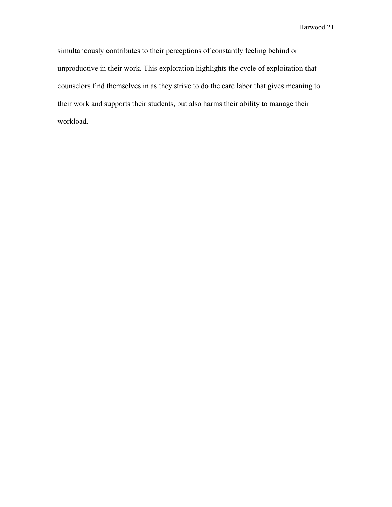simultaneously contributes to their perceptions of constantly feeling behind or unproductive in their work. This exploration highlights the cycle of exploitation that counselors find themselves in as they strive to do the care labor that gives meaning to their work and supports their students, but also harms their ability to manage their workload.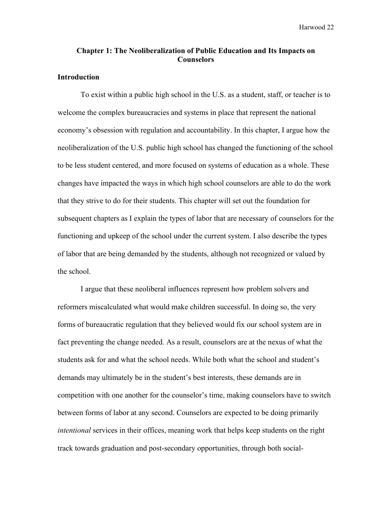# **Chapter 1: The Neoliberalization of Public Education and Its Impacts on Counselors**

# **Introduction**

To exist within a public high school in the U.S. as a student, staff, or teacher is to welcome the complex bureaucracies and systems in place that represent the national economy's obsession with regulation and accountability. In this chapter, I argue how the neoliberalization of the U.S. public high school has changed the functioning of the school to be less student centered, and more focused on systems of education as a whole. These changes have impacted the ways in which high school counselors are able to do the work that they strive to do for their students. This chapter will set out the foundation for subsequent chapters as I explain the types of labor that are necessary of counselors for the functioning and upkeep of the school under the current system. I also describe the types of labor that are being demanded by the students, although not recognized or valued by the school.

I argue that these neoliberal influences represent how problem solvers and reformers miscalculated what would make children successful. In doing so, the very forms of bureaucratic regulation that they believed would fix our school system are in fact preventing the change needed. As a result, counselors are at the nexus of what the students ask for and what the school needs. While both what the school and student's demands may ultimately be in the student's best interests, these demands are in competition with one another for the counselor's time, making counselors have to switch between forms of labor at any second. Counselors are expected to be doing primarily *intentional* services in their offices, meaning work that helps keep students on the right track towards graduation and post-secondary opportunities, through both social-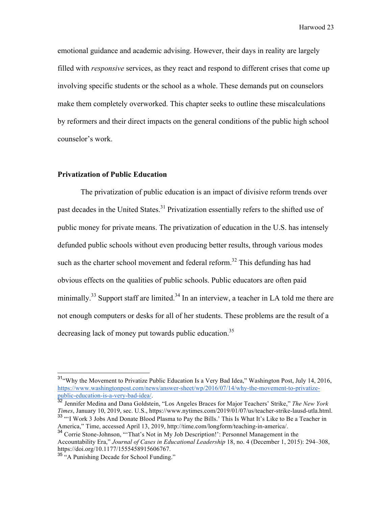emotional guidance and academic advising. However, their days in reality are largely filled with *responsive* services, as they react and respond to different crises that come up involving specific students or the school as a whole. These demands put on counselors make them completely overworked. This chapter seeks to outline these miscalculations by reformers and their direct impacts on the general conditions of the public high school counselor's work.

# **Privatization of Public Education**

The privatization of public education is an impact of divisive reform trends over past decades in the United States.<sup>31</sup> Privatization essentially refers to the shifted use of public money for private means. The privatization of education in the U.S. has intensely defunded public schools without even producing better results, through various modes such as the charter school movement and federal reform.<sup>32</sup> This defunding has had obvious effects on the qualities of public schools. Public educators are often paid minimally.<sup>33</sup> Support staff are limited.<sup>34</sup> In an interview, a teacher in LA told me there are not enough computers or desks for all of her students. These problems are the result of a decreasing lack of money put towards public education.<sup>35</sup>

<sup>&</sup>lt;sup>31</sup>"Why the Movement to Privatize Public Education Is a Very Bad Idea," Washington Post, July 14, 2016, https://www.washingtonpost.com/news/answer-sheet/wp/2016/07/14/why-the-movement-to-privatizepublic-education-is-a-very-bad-idea/. <sup>32</sup> Jennifer Medina and Dana Goldstein, "Los Angeles Braces for Major Teachers' Strike," *The New York* 

*Times*, January 10, 2019, sec. U.S., https://www.nytimes.com/2019/01/07/us/teacher-strike-lausd-utla.html. <sup>33</sup> "'I Work 3 Jobs And Donate Blood Plasma to Pay the Bills.' This Is What It's Like to Be a Teacher in

America," Time, accessed April 13, 2019, http://time.com/longform/teaching-in-america/. <sup>34</sup> Corrie Stone-Johnson, "That's Not in My Job Description!": Personnel Management in the

Accountability Era," *Journal of Cases in Educational Leadership* 18, no. 4 (December 1, 2015): 294–308, https://doi.org/10.1177/1555458915606767.

 $rac{35}{4}$  "A Punishing Decade for School Funding."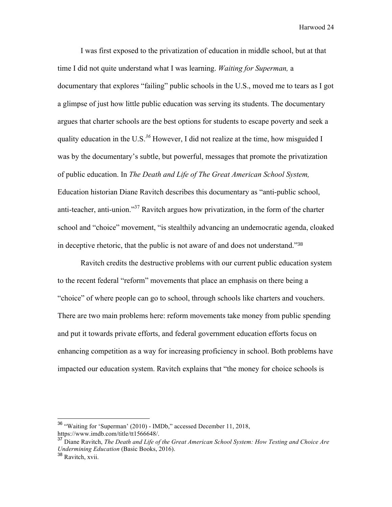I was first exposed to the privatization of education in middle school, but at that time I did not quite understand what I was learning. *Waiting for Superman,* a documentary that explores "failing" public schools in the U.S., moved me to tears as I got a glimpse of just how little public education was serving its students. The documentary argues that charter schools are the best options for students to escape poverty and seek a quality education in the U.S.*<sup>36</sup>* However, I did not realize at the time, how misguided I was by the documentary's subtle, but powerful, messages that promote the privatization of public education. In *The Death and Life of The Great American School System,*  Education historian Diane Ravitch describes this documentary as "anti-public school, anti-teacher, anti-union."37 Ravitch argues how privatization, in the form of the charter school and "choice" movement, "is stealthily advancing an undemocratic agenda, cloaked in deceptive rhetoric, that the public is not aware of and does not understand."<sup>38</sup>

Ravitch credits the destructive problems with our current public education system to the recent federal "reform" movements that place an emphasis on there being a "choice" of where people can go to school, through schools like charters and vouchers. There are two main problems here: reform movements take money from public spending and put it towards private efforts, and federal government education efforts focus on enhancing competition as a way for increasing proficiency in school. Both problems have impacted our education system. Ravitch explains that "the money for choice schools is

 <sup>36</sup> "Waiting for 'Superman' (2010) - IMDb," accessed December 11, 2018, https://www.imdb.com/title/tt1566648/.

<sup>37</sup> Diane Ravitch, *The Death and Life of the Great American School System: How Testing and Choice Are Undermining Education* (Basic Books, 2016).

<sup>38</sup> Ravitch, xvii.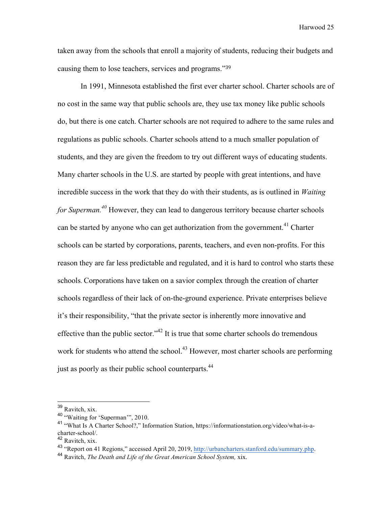taken away from the schools that enroll a majority of students, reducing their budgets and causing them to lose teachers, services and programs."<sup>39</sup>

In 1991, Minnesota established the first ever charter school. Charter schools are of no cost in the same way that public schools are, they use tax money like public schools do, but there is one catch. Charter schools are not required to adhere to the same rules and regulations as public schools. Charter schools attend to a much smaller population of students, and they are given the freedom to try out different ways of educating students. Many charter schools in the U.S. are started by people with great intentions, and have incredible success in the work that they do with their students, as is outlined in *Waiting for Superman.*<sup>40</sup> However, they can lead to dangerous territory because charter schools can be started by anyone who can get authorization from the government.<sup>41</sup> Charter schools can be started by corporations, parents, teachers, and even non-profits. For this reason they are far less predictable and regulated, and it is hard to control who starts these schools. Corporations have taken on a savior complex through the creation of charter schools regardless of their lack of on-the-ground experience. Private enterprises believe it's their responsibility, "that the private sector is inherently more innovative and effective than the public sector."<sup>42</sup> It is true that some charter schools do tremendous work for students who attend the school.<sup>43</sup> However, most charter schools are performing just as poorly as their public school counterparts.<sup>44</sup>

 <sup>39</sup> Ravitch, xix.

<sup>40</sup> "Waiting for 'Superman'", 2010.

<sup>41</sup> "What Is A Charter School?," Information Station, https://informationstation.org/video/what-is-acharter-school/.

<sup>42</sup> Ravitch, xix.

<sup>43</sup> "Report on 41 Regions," accessed April 20, 2019, http://urbancharters.stanford.edu/summary.php. <sup>44</sup> Ravitch, *The Death and Life of the Great American School System,* xix.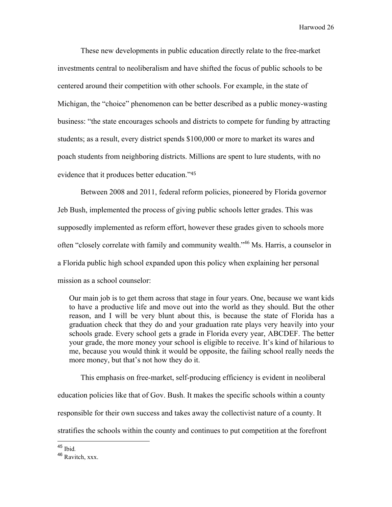These new developments in public education directly relate to the free-market investments central to neoliberalism and have shifted the focus of public schools to be centered around their competition with other schools. For example, in the state of Michigan, the "choice" phenomenon can be better described as a public money-wasting business: "the state encourages schools and districts to compete for funding by attracting students; as a result, every district spends \$100,000 or more to market its wares and poach students from neighboring districts. Millions are spent to lure students, with no evidence that it produces better education."<sup>45</sup>

Between 2008 and 2011, federal reform policies, pioneered by Florida governor Jeb Bush, implemented the process of giving public schools letter grades. This was supposedly implemented as reform effort, however these grades given to schools more often "closely correlate with family and community wealth."46 Ms. Harris, a counselor in a Florida public high school expanded upon this policy when explaining her personal mission as a school counselor:

Our main job is to get them across that stage in four years. One, because we want kids to have a productive life and move out into the world as they should. But the other reason, and I will be very blunt about this, is because the state of Florida has a graduation check that they do and your graduation rate plays very heavily into your schools grade. Every school gets a grade in Florida every year, ABCDEF. The better your grade, the more money your school is eligible to receive. It's kind of hilarious to me, because you would think it would be opposite, the failing school really needs the more money, but that's not how they do it.

This emphasis on free-market, self-producing efficiency is evident in neoliberal education policies like that of Gov. Bush. It makes the specific schools within a county responsible for their own success and takes away the collectivist nature of a county. It stratifies the schools within the county and continues to put competition at the forefront

<sup>45</sup> Ibid*.* <sup>46</sup> Ravitch, xxx.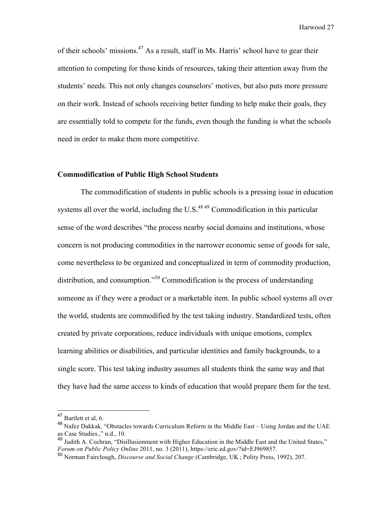of their schools' missions.<sup>47</sup> As a result, staff in Ms. Harris' school have to gear their attention to competing for those kinds of resources, taking their attention away from the students' needs. This not only changes counselors' motives, but also puts more pressure on their work. Instead of schools receiving better funding to help make their goals, they are essentially told to compete for the funds, even though the funding is what the schools need in order to make them more competitive.

# **Commodification of Public High School Students**

The commodification of students in public schools is a pressing issue in education systems all over the world, including the U.S. $^{48\,49}$  Commodification in this particular sense of the word describes "the process nearby social domains and institutions, whose concern is not producing commodities in the narrower economic sense of goods for sale, come nevertheless to be organized and conceptualized in term of commodity production, distribution, and consumption."<sup>50</sup> Commodification is the process of understanding someone as if they were a product or a marketable item. In public school systems all over the world, students are commodified by the test taking industry. Standardized tests, often created by private corporations, reduce individuals with unique emotions, complex learning abilities or disabilities, and particular identities and family backgrounds, to a single score. This test taking industry assumes all students think the same way and that they have had the same access to kinds of education that would prepare them for the test.

 <sup>47</sup> Bartlett et al, 6.

<sup>48</sup> Nafez Dakkak, "Obstacles towards Curriculum Reform in the Middle East – Using Jordan and the UAE as Case Studies.," n.d., 10.

<sup>49</sup> Judith A. Cochran, "Disillusionment with Higher Education in the Middle East and the United States," *Forum on Public Policy Online* 2011, no. 3 (2011), https://eric.ed.gov/?id=EJ969857.

<sup>50</sup> Norman Fairclough, *Discourse and Social Change* (Cambridge, UK ; Polity Press, 1992), 207.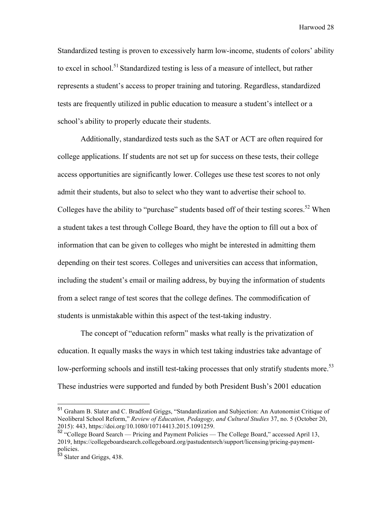Standardized testing is proven to excessively harm low-income, students of colors' ability to excel in school.<sup>51</sup> Standardized testing is less of a measure of intellect, but rather represents a student's access to proper training and tutoring. Regardless, standardized tests are frequently utilized in public education to measure a student's intellect or a school's ability to properly educate their students.

Additionally, standardized tests such as the SAT or ACT are often required for college applications. If students are not set up for success on these tests, their college access opportunities are significantly lower. Colleges use these test scores to not only admit their students, but also to select who they want to advertise their school to. Colleges have the ability to "purchase" students based off of their testing scores.<sup>52</sup> When a student takes a test through College Board, they have the option to fill out a box of information that can be given to colleges who might be interested in admitting them depending on their test scores. Colleges and universities can access that information, including the student's email or mailing address, by buying the information of students from a select range of test scores that the college defines. The commodification of students is unmistakable within this aspect of the test-taking industry.

The concept of "education reform" masks what really is the privatization of education. It equally masks the ways in which test taking industries take advantage of low-performing schools and instill test-taking processes that only stratify students more.<sup>53</sup> These industries were supported and funded by both President Bush's 2001 education

 <sup>51</sup> Graham B. Slater and C. Bradford Griggs, "Standardization and Subjection: An Autonomist Critique of Neoliberal School Reform," *Review of Education, Pedagogy, and Cultural Studies* 37, no. 5 (October 20, 2015): 443, https://doi.org/10.1080/10714413.2015.1091259.

<sup>52</sup> "College Board Search — Pricing and Payment Policies — The College Board," accessed April 13, 2019, https://collegeboardsearch.collegeboard.org/pastudentsrch/support/licensing/pricing-paymentpolicies.

<sup>&</sup>lt;sup>53</sup> Slater and Griggs, 438.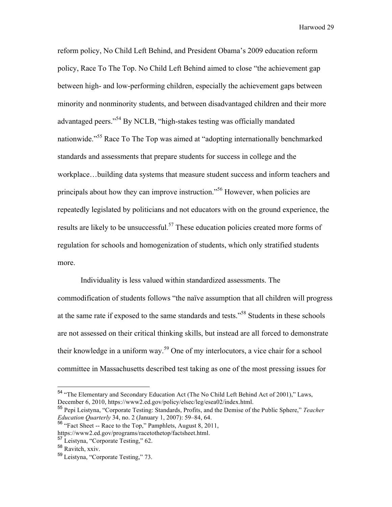reform policy, No Child Left Behind, and President Obama's 2009 education reform policy, Race To The Top. No Child Left Behind aimed to close "the achievement gap between high- and low-performing children, especially the achievement gaps between minority and nonminority students, and between disadvantaged children and their more advantaged peers."54 By NCLB, "high-stakes testing was officially mandated nationwide."<sup>55</sup> Race To The Top was aimed at "adopting internationally benchmarked standards and assessments that prepare students for success in college and the workplace…building data systems that measure student success and inform teachers and principals about how they can improve instruction."<sup>56</sup> However, when policies are repeatedly legislated by politicians and not educators with on the ground experience, the results are likely to be unsuccessful.<sup>57</sup> These education policies created more forms of regulation for schools and homogenization of students, which only stratified students more.

Individuality is less valued within standardized assessments. The commodification of students follows "the naïve assumption that all children will progress at the same rate if exposed to the same standards and tests."58 Students in these schools are not assessed on their critical thinking skills, but instead are all forced to demonstrate their knowledge in a uniform way.<sup>59</sup> One of my interlocutors, a vice chair for a school committee in Massachusetts described test taking as one of the most pressing issues for

<sup>&</sup>lt;sup>54</sup> "The Elementary and Secondary Education Act (The No Child Left Behind Act of 2001)," Laws, December 6, 2010, https://www2.ed.gov/policy/elsec/leg/esea02/index.html.

<sup>55</sup> Pepi Leistyna, "Corporate Testing: Standards, Profits, and the Demise of the Public Sphere," *Teacher Education Quarterly* 34, no. 2 (January 1, 2007): 59–84, 64.

<sup>56</sup> "Fact Sheet -- Race to the Top," Pamphlets, August 8, 2011,

https://www2.ed.gov/programs/racetothetop/factsheet.html.

<sup>57</sup> Leistyna, "Corporate Testing," 62.

<sup>58</sup> Ravitch, xxiv.

<sup>59</sup> Leistyna, "Corporate Testing," 73.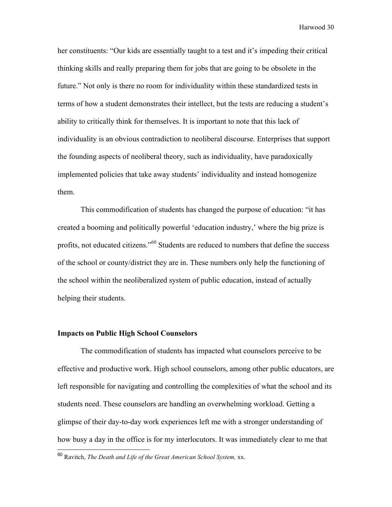her constituents: "Our kids are essentially taught to a test and it's impeding their critical thinking skills and really preparing them for jobs that are going to be obsolete in the future." Not only is there no room for individuality within these standardized tests in terms of how a student demonstrates their intellect, but the tests are reducing a student's ability to critically think for themselves. It is important to note that this lack of individuality is an obvious contradiction to neoliberal discourse. Enterprises that support the founding aspects of neoliberal theory, such as individuality, have paradoxically implemented policies that take away students' individuality and instead homogenize them.

This commodification of students has changed the purpose of education: "it has created a booming and politically powerful 'education industry,' where the big prize is profits, not educated citizens."<sup>60</sup> Students are reduced to numbers that define the success of the school or county/district they are in. These numbers only help the functioning of the school within the neoliberalized system of public education, instead of actually helping their students.

#### **Impacts on Public High School Counselors**

The commodification of students has impacted what counselors perceive to be effective and productive work. High school counselors, among other public educators, are left responsible for navigating and controlling the complexities of what the school and its students need. These counselors are handling an overwhelming workload. Getting a glimpse of their day-to-day work experiences left me with a stronger understanding of how busy a day in the office is for my interlocutors. It was immediately clear to me that

 <sup>60</sup> Ravitch, *The Death and Life of the Great American School System,* xx.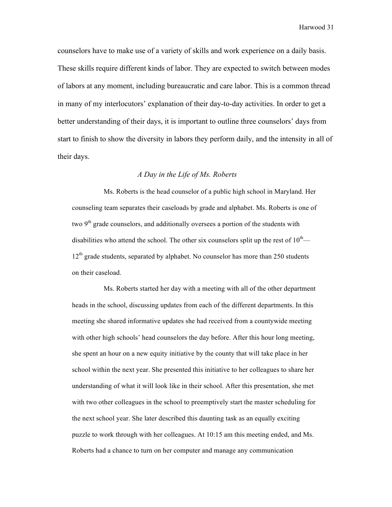counselors have to make use of a variety of skills and work experience on a daily basis. These skills require different kinds of labor. They are expected to switch between modes of labors at any moment, including bureaucratic and care labor. This is a common thread in many of my interlocutors' explanation of their day-to-day activities. In order to get a better understanding of their days, it is important to outline three counselors' days from start to finish to show the diversity in labors they perform daily, and the intensity in all of their days.

# *A Day in the Life of Ms. Roberts*

Ms. Roberts is the head counselor of a public high school in Maryland. Her counseling team separates their caseloads by grade and alphabet. Ms. Roberts is one of two  $9<sup>th</sup>$  grade counselors, and additionally oversees a portion of the students with disabilities who attend the school. The other six counselors split up the rest of  $10^{th}$ —  $12<sup>th</sup>$  grade students, separated by alphabet. No counselor has more than 250 students on their caseload.

Ms. Roberts started her day with a meeting with all of the other department heads in the school, discussing updates from each of the different departments. In this meeting she shared informative updates she had received from a countywide meeting with other high schools' head counselors the day before. After this hour long meeting, she spent an hour on a new equity initiative by the county that will take place in her school within the next year. She presented this initiative to her colleagues to share her understanding of what it will look like in their school. After this presentation, she met with two other colleagues in the school to preemptively start the master scheduling for the next school year. She later described this daunting task as an equally exciting puzzle to work through with her colleagues. At 10:15 am this meeting ended, and Ms. Roberts had a chance to turn on her computer and manage any communication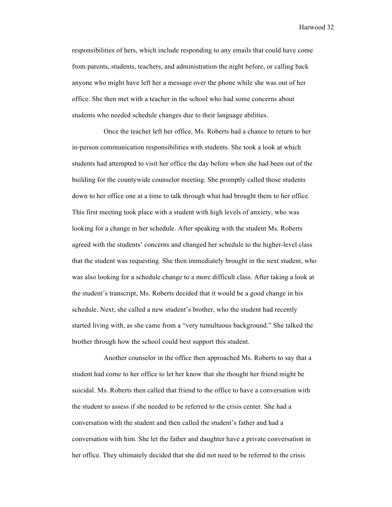responsibilities of hers, which include responding to any emails that could have come from parents, students, teachers, and administration the night before, or calling back anyone who might have left her a message over the phone while she was out of her office. She then met with a teacher in the school who had some concerns about students who needed schedule changes due to their language abilities.

Once the teacher left her office, Ms. Roberts had a chance to return to her in-person communication responsibilities with students. She took a look at which students had attempted to visit her office the day before when she had been out of the building for the countywide counselor meeting. She promptly called those students down to her office one at a time to talk through what had brought them to her office. This first meeting took place with a student with high levels of anxiety, who was looking for a change in her schedule. After speaking with the student Ms. Roberts agreed with the students' concerns and changed her schedule to the higher-level class that the student was requesting. She then immediately brought in the next student, who was also looking for a schedule change to a more difficult class. After taking a look at the student's transcript, Ms. Roberts decided that it would be a good change in his schedule. Next, she called a new student's brother, who the student had recently started living with, as she came from a "very tumultuous background." She talked the brother through how the school could best support this student.

Another counselor in the office then approached Ms. Roberts to say that a student had come to her office to let her know that she thought her friend might be suicidal. Ms. Roberts then called that friend to the office to have a conversation with the student to assess if she needed to be referred to the crisis center. She had a conversation with the student and then called the student's father and had a conversation with him. She let the father and daughter have a private conversation in her office. They ultimately decided that she did not need to be referred to the crisis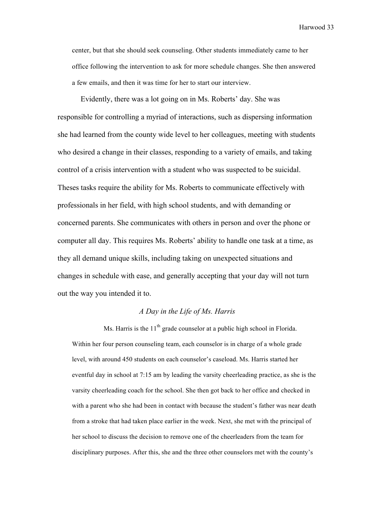center, but that she should seek counseling. Other students immediately came to her office following the intervention to ask for more schedule changes. She then answered a few emails, and then it was time for her to start our interview.

Evidently, there was a lot going on in Ms. Roberts' day. She was responsible for controlling a myriad of interactions, such as dispersing information she had learned from the county wide level to her colleagues, meeting with students who desired a change in their classes, responding to a variety of emails, and taking control of a crisis intervention with a student who was suspected to be suicidal. Theses tasks require the ability for Ms. Roberts to communicate effectively with professionals in her field, with high school students, and with demanding or concerned parents. She communicates with others in person and over the phone or computer all day. This requires Ms. Roberts' ability to handle one task at a time, as they all demand unique skills, including taking on unexpected situations and changes in schedule with ease, and generally accepting that your day will not turn out the way you intended it to.

#### *A Day in the Life of Ms. Harris*

Ms. Harris is the  $11<sup>th</sup>$  grade counselor at a public high school in Florida. Within her four person counseling team, each counselor is in charge of a whole grade level, with around 450 students on each counselor's caseload. Ms. Harris started her eventful day in school at 7:15 am by leading the varsity cheerleading practice, as she is the varsity cheerleading coach for the school. She then got back to her office and checked in with a parent who she had been in contact with because the student's father was near death from a stroke that had taken place earlier in the week. Next, she met with the principal of her school to discuss the decision to remove one of the cheerleaders from the team for disciplinary purposes. After this, she and the three other counselors met with the county's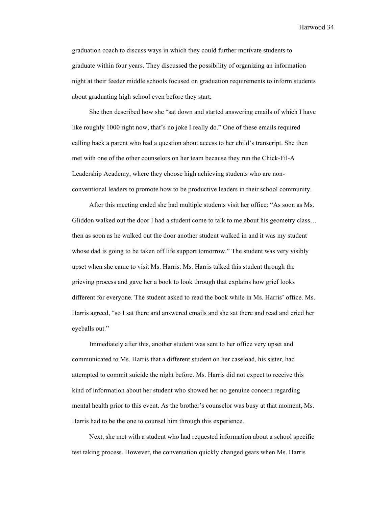graduation coach to discuss ways in which they could further motivate students to graduate within four years. They discussed the possibility of organizing an information night at their feeder middle schools focused on graduation requirements to inform students about graduating high school even before they start.

She then described how she "sat down and started answering emails of which I have like roughly 1000 right now, that's no joke I really do." One of these emails required calling back a parent who had a question about access to her child's transcript. She then met with one of the other counselors on her team because they run the Chick-Fil-A Leadership Academy, where they choose high achieving students who are nonconventional leaders to promote how to be productive leaders in their school community.

After this meeting ended she had multiple students visit her office: "As soon as Ms. Gliddon walked out the door I had a student come to talk to me about his geometry class… then as soon as he walked out the door another student walked in and it was my student whose dad is going to be taken off life support tomorrow." The student was very visibly upset when she came to visit Ms. Harris. Ms. Harris talked this student through the grieving process and gave her a book to look through that explains how grief looks different for everyone. The student asked to read the book while in Ms. Harris' office. Ms. Harris agreed, "so I sat there and answered emails and she sat there and read and cried her eyeballs out."

Immediately after this, another student was sent to her office very upset and communicated to Ms. Harris that a different student on her caseload, his sister, had attempted to commit suicide the night before. Ms. Harris did not expect to receive this kind of information about her student who showed her no genuine concern regarding mental health prior to this event. As the brother's counselor was busy at that moment, Ms. Harris had to be the one to counsel him through this experience.

Next, she met with a student who had requested information about a school specific test taking process. However, the conversation quickly changed gears when Ms. Harris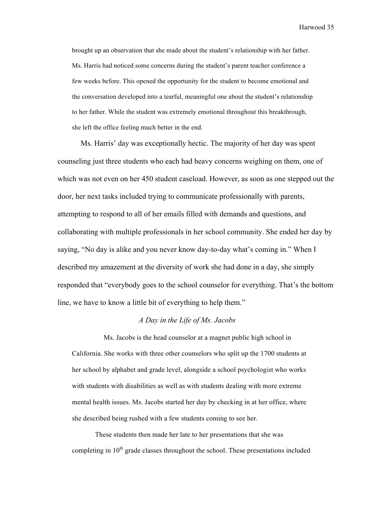brought up an observation that she made about the student's relationship with her father. Ms. Harris had noticed some concerns during the student's parent teacher conference a few weeks before. This opened the opportunity for the student to become emotional and the conversation developed into a tearful, meaningful one about the student's relationship to her father. While the student was extremely emotional throughout this breakthrough, she left the office feeling much better in the end.

Ms. Harris' day was exceptionally hectic. The majority of her day was spent counseling just three students who each had heavy concerns weighing on them, one of which was not even on her 450 student caseload. However, as soon as one stepped out the door, her next tasks included trying to communicate professionally with parents, attempting to respond to all of her emails filled with demands and questions, and collaborating with multiple professionals in her school community. She ended her day by saying, "No day is alike and you never know day-to-day what's coming in." When I described my amazement at the diversity of work she had done in a day, she simply responded that "everybody goes to the school counselor for everything. That's the bottom line, we have to know a little bit of everything to help them."

# *A Day in the Life of Ms. Jacobs*

Ms. Jacobs is the head counselor at a magnet public high school in California. She works with three other counselors who split up the 1700 students at her school by alphabet and grade level, alongside a school psychologist who works with students with disabilities as well as with students dealing with more extreme mental health issues. Ms. Jacobs started her day by checking in at her office, where she described being rushed with a few students coming to see her.

These students then made her late to her presentations that she was completing in  $10<sup>th</sup>$  grade classes throughout the school. These presentations included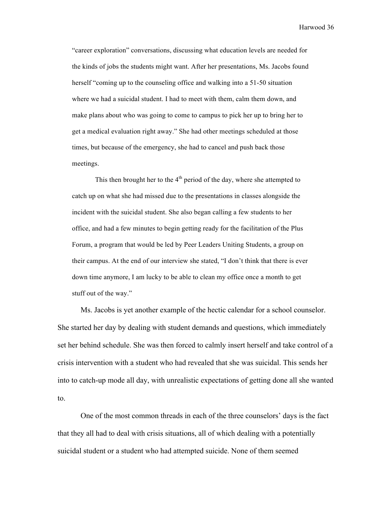"career exploration" conversations, discussing what education levels are needed for the kinds of jobs the students might want. After her presentations, Ms. Jacobs found herself "coming up to the counseling office and walking into a 51-50 situation where we had a suicidal student. I had to meet with them, calm them down, and make plans about who was going to come to campus to pick her up to bring her to get a medical evaluation right away." She had other meetings scheduled at those times, but because of the emergency, she had to cancel and push back those meetings.

This then brought her to the  $4<sup>th</sup>$  period of the day, where she attempted to catch up on what she had missed due to the presentations in classes alongside the incident with the suicidal student. She also began calling a few students to her office, and had a few minutes to begin getting ready for the facilitation of the Plus Forum, a program that would be led by Peer Leaders Uniting Students, a group on their campus. At the end of our interview she stated, "I don't think that there is ever down time anymore, I am lucky to be able to clean my office once a month to get stuff out of the way."

Ms. Jacobs is yet another example of the hectic calendar for a school counselor. She started her day by dealing with student demands and questions, which immediately set her behind schedule. She was then forced to calmly insert herself and take control of a crisis intervention with a student who had revealed that she was suicidal. This sends her into to catch-up mode all day, with unrealistic expectations of getting done all she wanted to.

One of the most common threads in each of the three counselors' days is the fact that they all had to deal with crisis situations, all of which dealing with a potentially suicidal student or a student who had attempted suicide. None of them seemed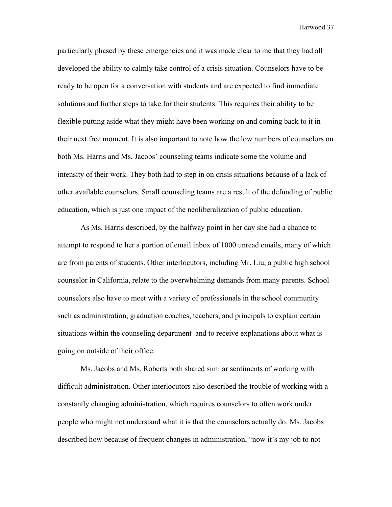particularly phased by these emergencies and it was made clear to me that they had all developed the ability to calmly take control of a crisis situation. Counselors have to be ready to be open for a conversation with students and are expected to find immediate solutions and further steps to take for their students. This requires their ability to be flexible putting aside what they might have been working on and coming back to it in their next free moment. It is also important to note how the low numbers of counselors on both Ms. Harris and Ms. Jacobs' counseling teams indicate some the volume and intensity of their work. They both had to step in on crisis situations because of a lack of other available counselors. Small counseling teams are a result of the defunding of public education, which is just one impact of the neoliberalization of public education.

As Ms. Harris described, by the halfway point in her day she had a chance to attempt to respond to her a portion of email inbox of 1000 unread emails, many of which are from parents of students. Other interlocutors, including Mr. Liu, a public high school counselor in California, relate to the overwhelming demands from many parents. School counselors also have to meet with a variety of professionals in the school community such as administration, graduation coaches, teachers, and principals to explain certain situations within the counseling department and to receive explanations about what is going on outside of their office.

Ms. Jacobs and Ms. Roberts both shared similar sentiments of working with difficult administration. Other interlocutors also described the trouble of working with a constantly changing administration, which requires counselors to often work under people who might not understand what it is that the counselors actually do. Ms. Jacobs described how because of frequent changes in administration, "now it's my job to not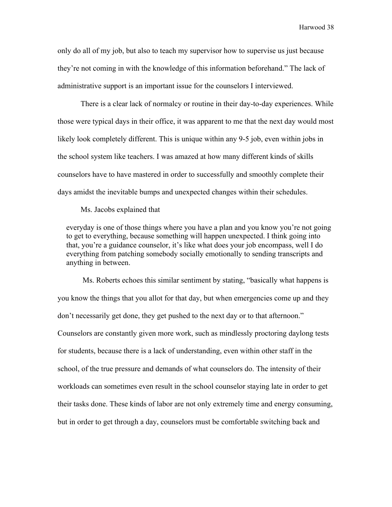only do all of my job, but also to teach my supervisor how to supervise us just because they're not coming in with the knowledge of this information beforehand." The lack of administrative support is an important issue for the counselors I interviewed.

There is a clear lack of normalcy or routine in their day-to-day experiences. While those were typical days in their office, it was apparent to me that the next day would most likely look completely different. This is unique within any 9-5 job, even within jobs in the school system like teachers. I was amazed at how many different kinds of skills counselors have to have mastered in order to successfully and smoothly complete their days amidst the inevitable bumps and unexpected changes within their schedules.

Ms. Jacobs explained that

everyday is one of those things where you have a plan and you know you're not going to get to everything, because something will happen unexpected. I think going into that, you're a guidance counselor, it's like what does your job encompass, well I do everything from patching somebody socially emotionally to sending transcripts and anything in between.

Ms. Roberts echoes this similar sentiment by stating, "basically what happens is you know the things that you allot for that day, but when emergencies come up and they don't necessarily get done, they get pushed to the next day or to that afternoon." Counselors are constantly given more work, such as mindlessly proctoring daylong tests for students, because there is a lack of understanding, even within other staff in the school, of the true pressure and demands of what counselors do. The intensity of their workloads can sometimes even result in the school counselor staying late in order to get their tasks done. These kinds of labor are not only extremely time and energy consuming, but in order to get through a day, counselors must be comfortable switching back and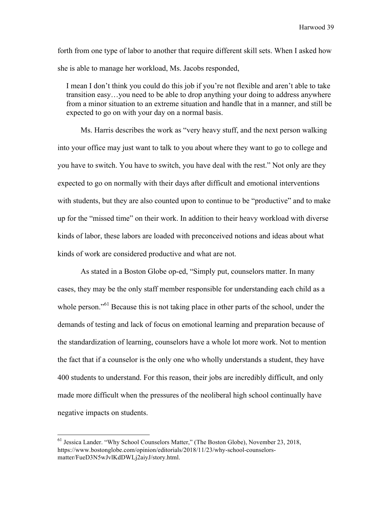forth from one type of labor to another that require different skill sets. When I asked how she is able to manage her workload, Ms. Jacobs responded,

I mean I don't think you could do this job if you're not flexible and aren't able to take transition easy…you need to be able to drop anything your doing to address anywhere from a minor situation to an extreme situation and handle that in a manner, and still be expected to go on with your day on a normal basis.

Ms. Harris describes the work as "very heavy stuff, and the next person walking into your office may just want to talk to you about where they want to go to college and you have to switch. You have to switch, you have deal with the rest." Not only are they expected to go on normally with their days after difficult and emotional interventions with students, but they are also counted upon to continue to be "productive" and to make up for the "missed time" on their work. In addition to their heavy workload with diverse kinds of labor, these labors are loaded with preconceived notions and ideas about what kinds of work are considered productive and what are not.

As stated in a Boston Globe op-ed, "Simply put, counselors matter. In many cases, they may be the only staff member responsible for understanding each child as a whole person."<sup>61</sup> Because this is not taking place in other parts of the school, under the demands of testing and lack of focus on emotional learning and preparation because of the standardization of learning, counselors have a whole lot more work. Not to mention the fact that if a counselor is the only one who wholly understands a student, they have 400 students to understand. For this reason, their jobs are incredibly difficult, and only made more difficult when the pressures of the neoliberal high school continually have negative impacts on students.

<sup>61</sup> Jessica Lander. "Why School Counselors Matter," (The Boston Globe), November 23, 2018, https://www.bostonglobe.com/opinion/editorials/2018/11/23/why-school-counselorsmatter/FueD3N5wJvlKdDWLj2aiyJ/story.html.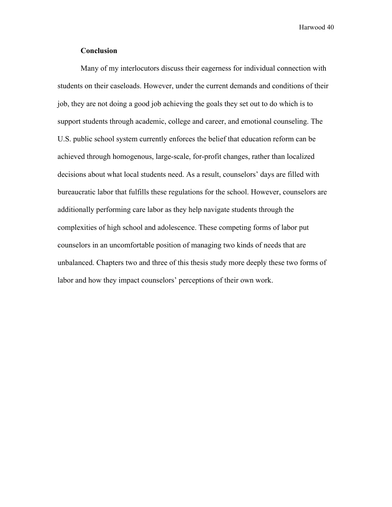# **Conclusion**

Many of my interlocutors discuss their eagerness for individual connection with students on their caseloads. However, under the current demands and conditions of their job, they are not doing a good job achieving the goals they set out to do which is to support students through academic, college and career, and emotional counseling. The U.S. public school system currently enforces the belief that education reform can be achieved through homogenous, large-scale, for-profit changes, rather than localized decisions about what local students need. As a result, counselors' days are filled with bureaucratic labor that fulfills these regulations for the school. However, counselors are additionally performing care labor as they help navigate students through the complexities of high school and adolescence. These competing forms of labor put counselors in an uncomfortable position of managing two kinds of needs that are unbalanced. Chapters two and three of this thesis study more deeply these two forms of labor and how they impact counselors' perceptions of their own work.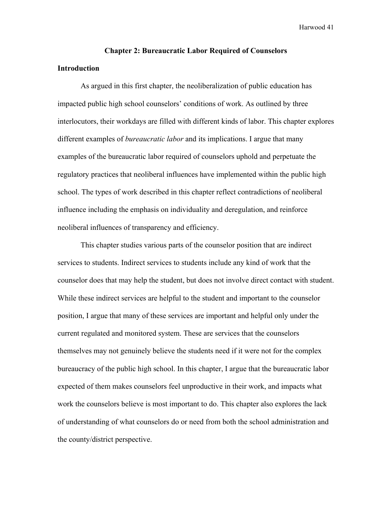# **Chapter 2: Bureaucratic Labor Required of Counselors**

# **Introduction**

As argued in this first chapter, the neoliberalization of public education has impacted public high school counselors' conditions of work. As outlined by three interlocutors, their workdays are filled with different kinds of labor. This chapter explores different examples of *bureaucratic labor* and its implications. I argue that many examples of the bureaucratic labor required of counselors uphold and perpetuate the regulatory practices that neoliberal influences have implemented within the public high school. The types of work described in this chapter reflect contradictions of neoliberal influence including the emphasis on individuality and deregulation, and reinforce neoliberal influences of transparency and efficiency.

This chapter studies various parts of the counselor position that are indirect services to students. Indirect services to students include any kind of work that the counselor does that may help the student, but does not involve direct contact with student. While these indirect services are helpful to the student and important to the counselor position, I argue that many of these services are important and helpful only under the current regulated and monitored system. These are services that the counselors themselves may not genuinely believe the students need if it were not for the complex bureaucracy of the public high school. In this chapter, I argue that the bureaucratic labor expected of them makes counselors feel unproductive in their work, and impacts what work the counselors believe is most important to do. This chapter also explores the lack of understanding of what counselors do or need from both the school administration and the county/district perspective.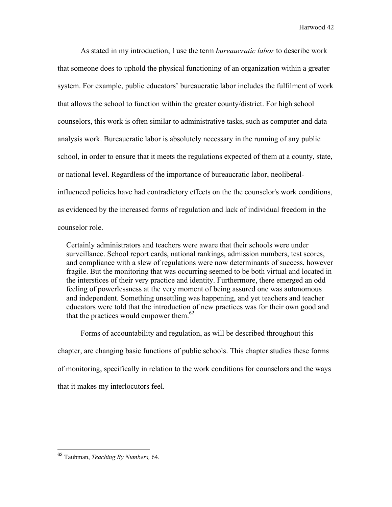As stated in my introduction, I use the term *bureaucratic labor* to describe work that someone does to uphold the physical functioning of an organization within a greater system. For example, public educators' bureaucratic labor includes the fulfilment of work that allows the school to function within the greater county/district. For high school counselors, this work is often similar to administrative tasks, such as computer and data analysis work. Bureaucratic labor is absolutely necessary in the running of any public school, in order to ensure that it meets the regulations expected of them at a county, state, or national level. Regardless of the importance of bureaucratic labor, neoliberalinfluenced policies have had contradictory effects on the the counselor's work conditions, as evidenced by the increased forms of regulation and lack of individual freedom in the counselor role.

Certainly administrators and teachers were aware that their schools were under surveillance. School report cards, national rankings, admission numbers, test scores, and compliance with a slew of regulations were now determinants of success, however fragile. But the monitoring that was occurring seemed to be both virtual and located in the interstices of their very practice and identity. Furthermore, there emerged an odd feeling of powerlessness at the very moment of being assured one was autonomous and independent. Something unsettling was happening, and yet teachers and teacher educators were told that the introduction of new practices was for their own good and that the practices would empower them. $62$ 

Forms of accountability and regulation, as will be described throughout this chapter, are changing basic functions of public schools. This chapter studies these forms of monitoring, specifically in relation to the work conditions for counselors and the ways that it makes my interlocutors feel.

 <sup>62</sup> Taubman, *Teaching By Numbers,* 64.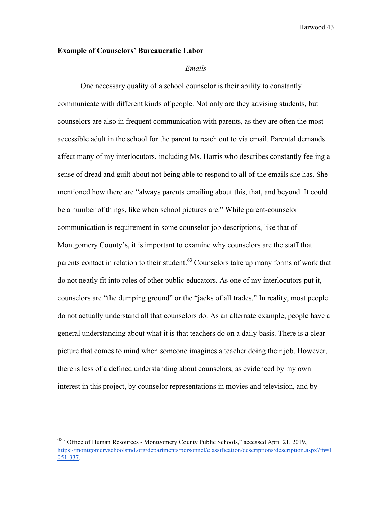#### **Example of Counselors' Bureaucratic Labor**

#### *Emails*

One necessary quality of a school counselor is their ability to constantly communicate with different kinds of people. Not only are they advising students, but counselors are also in frequent communication with parents, as they are often the most accessible adult in the school for the parent to reach out to via email. Parental demands affect many of my interlocutors, including Ms. Harris who describes constantly feeling a sense of dread and guilt about not being able to respond to all of the emails she has. She mentioned how there are "always parents emailing about this, that, and beyond. It could be a number of things, like when school pictures are." While parent-counselor communication is requirement in some counselor job descriptions, like that of Montgomery County's, it is important to examine why counselors are the staff that parents contact in relation to their student.<sup>63</sup> Counselors take up many forms of work that do not neatly fit into roles of other public educators. As one of my interlocutors put it, counselors are "the dumping ground" or the "jacks of all trades." In reality, most people do not actually understand all that counselors do. As an alternate example, people have a general understanding about what it is that teachers do on a daily basis. There is a clear picture that comes to mind when someone imagines a teacher doing their job. However, there is less of a defined understanding about counselors, as evidenced by my own interest in this project, by counselor representations in movies and television, and by

 <sup>63</sup> "Office of Human Resources - Montgomery County Public Schools," accessed April 21, 2019, https://montgomeryschoolsmd.org/departments/personnel/classification/descriptions/description.aspx?fn=1 051-337.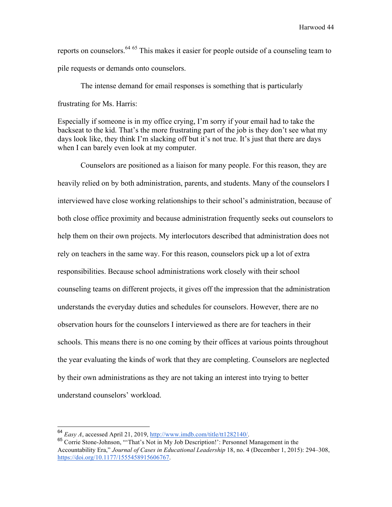reports on counselors.<sup>64 65</sup> This makes it easier for people outside of a counseling team to pile requests or demands onto counselors.

The intense demand for email responses is something that is particularly frustrating for Ms. Harris:

Especially if someone is in my office crying, I'm sorry if your email had to take the backseat to the kid. That's the more frustrating part of the job is they don't see what my days look like, they think I'm slacking off but it's not true. It's just that there are days when I can barely even look at my computer.

Counselors are positioned as a liaison for many people. For this reason, they are heavily relied on by both administration, parents, and students. Many of the counselors I interviewed have close working relationships to their school's administration, because of both close office proximity and because administration frequently seeks out counselors to help them on their own projects. My interlocutors described that administration does not rely on teachers in the same way. For this reason, counselors pick up a lot of extra responsibilities. Because school administrations work closely with their school counseling teams on different projects, it gives off the impression that the administration understands the everyday duties and schedules for counselors. However, there are no observation hours for the counselors I interviewed as there are for teachers in their schools. This means there is no one coming by their offices at various points throughout the year evaluating the kinds of work that they are completing. Counselors are neglected by their own administrations as they are not taking an interest into trying to better understand counselors' workload.

<sup>&</sup>lt;sup>64</sup> *Easy A*, accessed April 21, 2019, http://www.imdb.com/title/tt1282140/.<br><sup>65</sup> Corrie Stone-Johnson, "That's Not in My Job Description!": Personnel Management in the Accountability Era," *Journal of Cases in Educational Leadership* 18, no. 4 (December 1, 2015): 294–308, https://doi.org/10.1177/1555458915606767.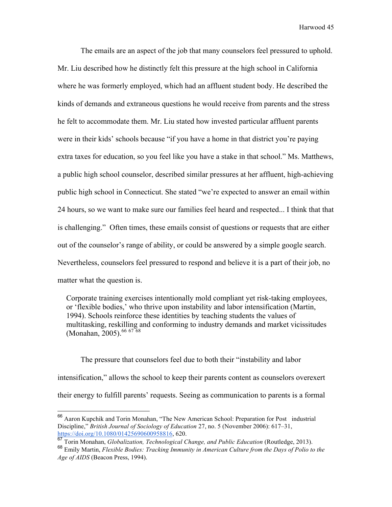The emails are an aspect of the job that many counselors feel pressured to uphold. Mr. Liu described how he distinctly felt this pressure at the high school in California where he was formerly employed, which had an affluent student body. He described the kinds of demands and extraneous questions he would receive from parents and the stress he felt to accommodate them. Mr. Liu stated how invested particular affluent parents were in their kids' schools because "if you have a home in that district you're paying extra taxes for education, so you feel like you have a stake in that school." Ms. Matthews, a public high school counselor, described similar pressures at her affluent, high-achieving public high school in Connecticut. She stated "we're expected to answer an email within 24 hours, so we want to make sure our families feel heard and respected... I think that that is challenging." Often times, these emails consist of questions or requests that are either out of the counselor's range of ability, or could be answered by a simple google search. Nevertheless, counselors feel pressured to respond and believe it is a part of their job, no matter what the question is.

Corporate training exercises intentionally mold compliant yet risk-taking employees, or 'flexible bodies,' who thrive upon instability and labor intensification (Martin, 1994). Schools reinforce these identities by teaching students the values of multitasking, reskilling and conforming to industry demands and market vicissitudes (Monahan, 2005).<sup>66 67 68</sup>

The pressure that counselors feel due to both their "instability and labor intensification," allows the school to keep their parents content as counselors overexert their energy to fulfill parents' requests. Seeing as communication to parents is a formal

<sup>&</sup>lt;sup>66</sup> Aaron Kupchik and Torin Monahan, "The New American School: Preparation for Post industrial Discipline," *British Journal of Sociology of Education* 27, no. 5 (November 2006): 617–31, https://doi.org/10.1080/01425690600958816, 620.

<sup>67</sup> Torin Monahan, *Globalization, Technological Change, and Public Education* (Routledge, 2013).

<sup>68</sup> Emily Martin, *Flexible Bodies: Tracking Immunity in American Culture from the Days of Polio to the Age of AIDS* (Beacon Press, 1994).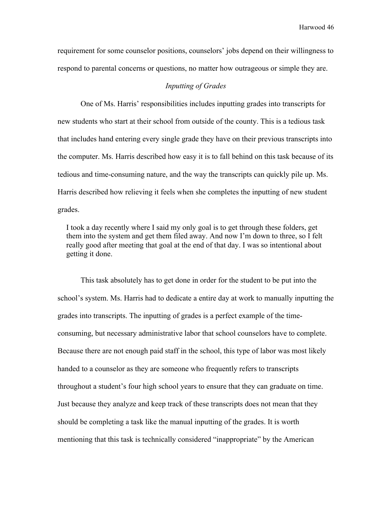requirement for some counselor positions, counselors' jobs depend on their willingness to respond to parental concerns or questions, no matter how outrageous or simple they are.

# *Inputting of Grades*

One of Ms. Harris' responsibilities includes inputting grades into transcripts for new students who start at their school from outside of the county. This is a tedious task that includes hand entering every single grade they have on their previous transcripts into the computer. Ms. Harris described how easy it is to fall behind on this task because of its tedious and time-consuming nature, and the way the transcripts can quickly pile up. Ms. Harris described how relieving it feels when she completes the inputting of new student grades.

I took a day recently where I said my only goal is to get through these folders, get them into the system and get them filed away. And now I'm down to three, so I felt really good after meeting that goal at the end of that day. I was so intentional about getting it done.

This task absolutely has to get done in order for the student to be put into the school's system. Ms. Harris had to dedicate a entire day at work to manually inputting the grades into transcripts. The inputting of grades is a perfect example of the timeconsuming, but necessary administrative labor that school counselors have to complete. Because there are not enough paid staff in the school, this type of labor was most likely handed to a counselor as they are someone who frequently refers to transcripts throughout a student's four high school years to ensure that they can graduate on time. Just because they analyze and keep track of these transcripts does not mean that they should be completing a task like the manual inputting of the grades. It is worth mentioning that this task is technically considered "inappropriate" by the American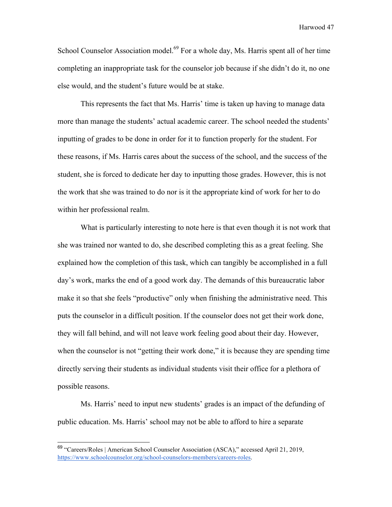School Counselor Association model.<sup>69</sup> For a whole day, Ms. Harris spent all of her time completing an inappropriate task for the counselor job because if she didn't do it, no one else would, and the student's future would be at stake.

This represents the fact that Ms. Harris' time is taken up having to manage data more than manage the students' actual academic career. The school needed the students' inputting of grades to be done in order for it to function properly for the student. For these reasons, if Ms. Harris cares about the success of the school, and the success of the student, she is forced to dedicate her day to inputting those grades. However, this is not the work that she was trained to do nor is it the appropriate kind of work for her to do within her professional realm.

What is particularly interesting to note here is that even though it is not work that she was trained nor wanted to do, she described completing this as a great feeling. She explained how the completion of this task, which can tangibly be accomplished in a full day's work, marks the end of a good work day. The demands of this bureaucratic labor make it so that she feels "productive" only when finishing the administrative need. This puts the counselor in a difficult position. If the counselor does not get their work done, they will fall behind, and will not leave work feeling good about their day. However, when the counselor is not "getting their work done," it is because they are spending time directly serving their students as individual students visit their office for a plethora of possible reasons.

Ms. Harris' need to input new students' grades is an impact of the defunding of public education. Ms. Harris' school may not be able to afford to hire a separate

 <sup>69</sup> "Careers/Roles | American School Counselor Association (ASCA)," accessed April 21, 2019, https://www.schoolcounselor.org/school-counselors-members/careers-roles.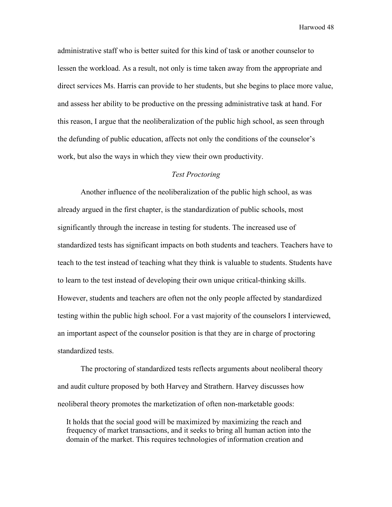administrative staff who is better suited for this kind of task or another counselor to lessen the workload. As a result, not only is time taken away from the appropriate and direct services Ms. Harris can provide to her students, but she begins to place more value, and assess her ability to be productive on the pressing administrative task at hand. For this reason, I argue that the neoliberalization of the public high school, as seen through the defunding of public education, affects not only the conditions of the counselor's work, but also the ways in which they view their own productivity.

## *Test Proctoring*

Another influence of the neoliberalization of the public high school, as was already argued in the first chapter, is the standardization of public schools, most significantly through the increase in testing for students. The increased use of standardized tests has significant impacts on both students and teachers. Teachers have to teach to the test instead of teaching what they think is valuable to students. Students have to learn to the test instead of developing their own unique critical-thinking skills. However, students and teachers are often not the only people affected by standardized testing within the public high school. For a vast majority of the counselors I interviewed, an important aspect of the counselor position is that they are in charge of proctoring standardized tests.

The proctoring of standardized tests reflects arguments about neoliberal theory and audit culture proposed by both Harvey and Strathern. Harvey discusses how neoliberal theory promotes the marketization of often non-marketable goods:

It holds that the social good will be maximized by maximizing the reach and frequency of market transactions, and it seeks to bring all human action into the domain of the market. This requires technologies of information creation and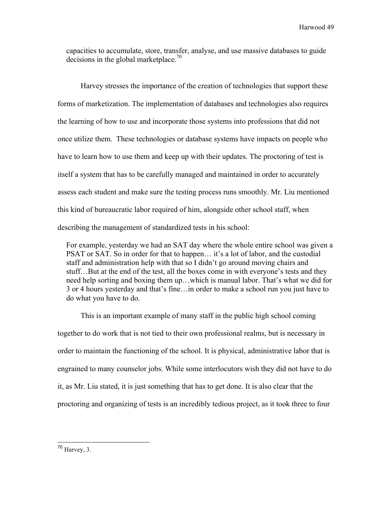capacities to accumulate, store, transfer, analyse, and use massive databases to guide decisions in the global marketplace.<sup>70</sup>

Harvey stresses the importance of the creation of technologies that support these forms of marketization. The implementation of databases and technologies also requires the learning of how to use and incorporate those systems into professions that did not once utilize them. These technologies or database systems have impacts on people who have to learn how to use them and keep up with their updates. The proctoring of test is itself a system that has to be carefully managed and maintained in order to accurately assess each student and make sure the testing process runs smoothly. Mr. Liu mentioned this kind of bureaucratic labor required of him, alongside other school staff, when describing the management of standardized tests in his school:

For example, yesterday we had an SAT day where the whole entire school was given a PSAT or SAT. So in order for that to happen… it's a lot of labor, and the custodial staff and administration help with that so I didn't go around moving chairs and stuff…But at the end of the test, all the boxes come in with everyone's tests and they need help sorting and boxing them up…which is manual labor. That's what we did for 3 or 4 hours yesterday and that's fine…in order to make a school run you just have to do what you have to do.

This is an important example of many staff in the public high school coming together to do work that is not tied to their own professional realms, but is necessary in order to maintain the functioning of the school. It is physical, administrative labor that is engrained to many counselor jobs. While some interlocutors wish they did not have to do it, as Mr. Liu stated, it is just something that has to get done. It is also clear that the proctoring and organizing of tests is an incredibly tedious project, as it took three to four

 $70$  Harvey, 3.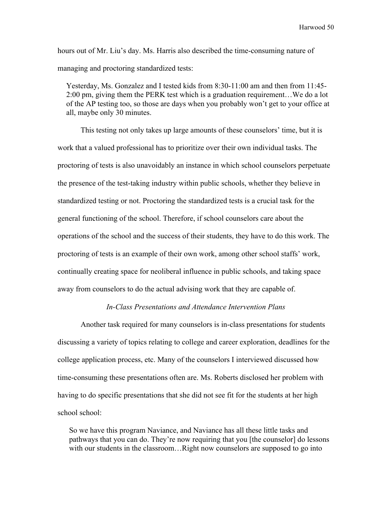hours out of Mr. Liu's day. Ms. Harris also described the time-consuming nature of managing and proctoring standardized tests:

Yesterday, Ms. Gonzalez and I tested kids from 8:30-11:00 am and then from 11:45- 2:00 pm, giving them the PERK test which is a graduation requirement…We do a lot of the AP testing too, so those are days when you probably won't get to your office at all, maybe only 30 minutes.

This testing not only takes up large amounts of these counselors' time, but it is work that a valued professional has to prioritize over their own individual tasks. The proctoring of tests is also unavoidably an instance in which school counselors perpetuate the presence of the test-taking industry within public schools, whether they believe in standardized testing or not. Proctoring the standardized tests is a crucial task for the general functioning of the school. Therefore, if school counselors care about the operations of the school and the success of their students, they have to do this work. The proctoring of tests is an example of their own work, among other school staffs' work, continually creating space for neoliberal influence in public schools, and taking space away from counselors to do the actual advising work that they are capable of.

# *In-Class Presentations and Attendance Intervention Plans*

Another task required for many counselors is in-class presentations for students discussing a variety of topics relating to college and career exploration, deadlines for the college application process, etc. Many of the counselors I interviewed discussed how time-consuming these presentations often are. Ms. Roberts disclosed her problem with having to do specific presentations that she did not see fit for the students at her high school school:

So we have this program Naviance, and Naviance has all these little tasks and pathways that you can do. They're now requiring that you [the counselor] do lessons with our students in the classroom...Right now counselors are supposed to go into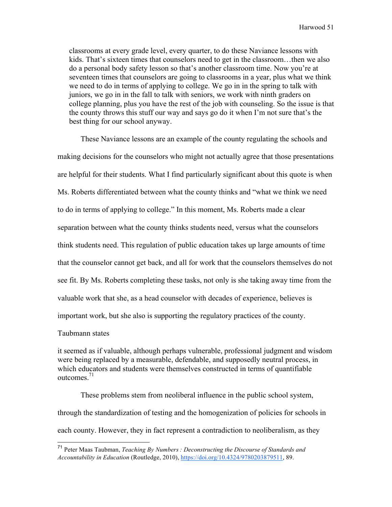classrooms at every grade level, every quarter, to do these Naviance lessons with kids. That's sixteen times that counselors need to get in the classroom…then we also do a personal body safety lesson so that's another classroom time. Now you're at seventeen times that counselors are going to classrooms in a year, plus what we think we need to do in terms of applying to college. We go in in the spring to talk with juniors, we go in in the fall to talk with seniors, we work with ninth graders on college planning, plus you have the rest of the job with counseling. So the issue is that the county throws this stuff our way and says go do it when I'm not sure that's the best thing for our school anyway.

These Naviance lessons are an example of the county regulating the schools and making decisions for the counselors who might not actually agree that those presentations are helpful for their students. What I find particularly significant about this quote is when Ms. Roberts differentiated between what the county thinks and "what we think we need to do in terms of applying to college." In this moment, Ms. Roberts made a clear separation between what the county thinks students need, versus what the counselors think students need. This regulation of public education takes up large amounts of time that the counselor cannot get back, and all for work that the counselors themselves do not see fit. By Ms. Roberts completing these tasks, not only is she taking away time from the valuable work that she, as a head counselor with decades of experience, believes is important work, but she also is supporting the regulatory practices of the county.

#### Taubmann states

it seemed as if valuable, although perhaps vulnerable, professional judgment and wisdom were being replaced by a measurable, defendable, and supposedly neutral process, in which educators and students were themselves constructed in terms of quantifiable outcomes<sup>71</sup>

These problems stem from neoliberal influence in the public school system, through the standardization of testing and the homogenization of policies for schools in each county. However, they in fact represent a contradiction to neoliberalism, as they

 <sup>71</sup> Peter Maas Taubman, *Teaching By Numbers : Deconstructing the Discourse of Standards and Accountability in Education* (Routledge, 2010), https://doi.org/10.4324/9780203879511, 89.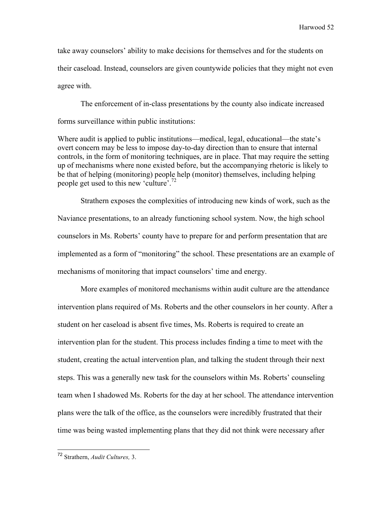take away counselors' ability to make decisions for themselves and for the students on their caseload. Instead, counselors are given countywide policies that they might not even agree with.

The enforcement of in-class presentations by the county also indicate increased forms surveillance within public institutions:

Where audit is applied to public institutions—medical, legal, educational—the state's overt concern may be less to impose day-to-day direction than to ensure that internal controls, in the form of monitoring techniques, are in place. That may require the setting up of mechanisms where none existed before, but the accompanying rhetoric is likely to be that of helping (monitoring) people help (monitor) themselves, including helping people get used to this new 'culture'.72

Strathern exposes the complexities of introducing new kinds of work, such as the Naviance presentations, to an already functioning school system. Now, the high school counselors in Ms. Roberts' county have to prepare for and perform presentation that are implemented as a form of "monitoring" the school. These presentations are an example of mechanisms of monitoring that impact counselors' time and energy.

More examples of monitored mechanisms within audit culture are the attendance intervention plans required of Ms. Roberts and the other counselors in her county. After a student on her caseload is absent five times, Ms. Roberts is required to create an intervention plan for the student. This process includes finding a time to meet with the student, creating the actual intervention plan, and talking the student through their next steps. This was a generally new task for the counselors within Ms. Roberts' counseling team when I shadowed Ms. Roberts for the day at her school. The attendance intervention plans were the talk of the office, as the counselors were incredibly frustrated that their time was being wasted implementing plans that they did not think were necessary after

 <sup>72</sup> Strathern, *Audit Cultures,* 3.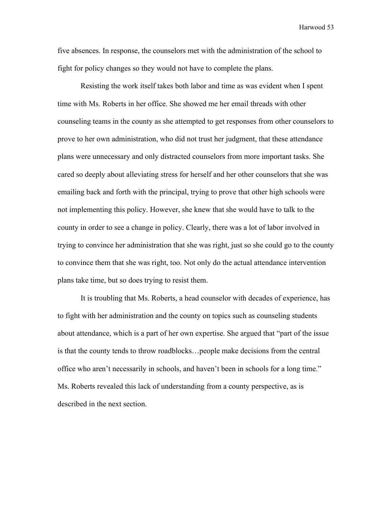five absences. In response, the counselors met with the administration of the school to fight for policy changes so they would not have to complete the plans.

Resisting the work itself takes both labor and time as was evident when I spent time with Ms. Roberts in her office. She showed me her email threads with other counseling teams in the county as she attempted to get responses from other counselors to prove to her own administration, who did not trust her judgment, that these attendance plans were unnecessary and only distracted counselors from more important tasks. She cared so deeply about alleviating stress for herself and her other counselors that she was emailing back and forth with the principal, trying to prove that other high schools were not implementing this policy. However, she knew that she would have to talk to the county in order to see a change in policy. Clearly, there was a lot of labor involved in trying to convince her administration that she was right, just so she could go to the county to convince them that she was right, too. Not only do the actual attendance intervention plans take time, but so does trying to resist them.

It is troubling that Ms. Roberts, a head counselor with decades of experience, has to fight with her administration and the county on topics such as counseling students about attendance, which is a part of her own expertise. She argued that "part of the issue is that the county tends to throw roadblocks…people make decisions from the central office who aren't necessarily in schools, and haven't been in schools for a long time." Ms. Roberts revealed this lack of understanding from a county perspective, as is described in the next section.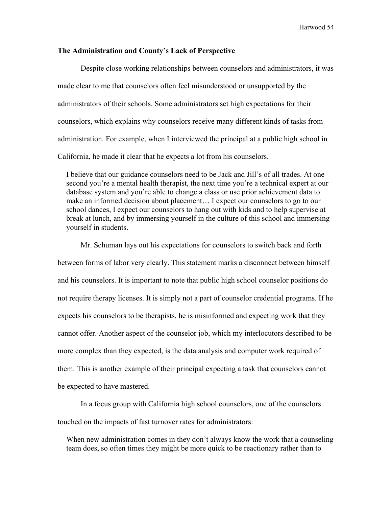## **The Administration and County's Lack of Perspective**

Despite close working relationships between counselors and administrators, it was made clear to me that counselors often feel misunderstood or unsupported by the administrators of their schools. Some administrators set high expectations for their counselors, which explains why counselors receive many different kinds of tasks from administration. For example, when I interviewed the principal at a public high school in California, he made it clear that he expects a lot from his counselors.

I believe that our guidance counselors need to be Jack and Jill's of all trades. At one second you're a mental health therapist, the next time you're a technical expert at our database system and you're able to change a class or use prior achievement data to make an informed decision about placement… I expect our counselors to go to our school dances, I expect our counselors to hang out with kids and to help supervise at break at lunch, and by immersing yourself in the culture of this school and immersing yourself in students.

Mr. Schuman lays out his expectations for counselors to switch back and forth between forms of labor very clearly. This statement marks a disconnect between himself and his counselors. It is important to note that public high school counselor positions do not require therapy licenses. It is simply not a part of counselor credential programs. If he expects his counselors to be therapists, he is misinformed and expecting work that they cannot offer. Another aspect of the counselor job, which my interlocutors described to be more complex than they expected, is the data analysis and computer work required of them. This is another example of their principal expecting a task that counselors cannot be expected to have mastered.

In a focus group with California high school counselors, one of the counselors touched on the impacts of fast turnover rates for administrators:

When new administration comes in they don't always know the work that a counseling team does, so often times they might be more quick to be reactionary rather than to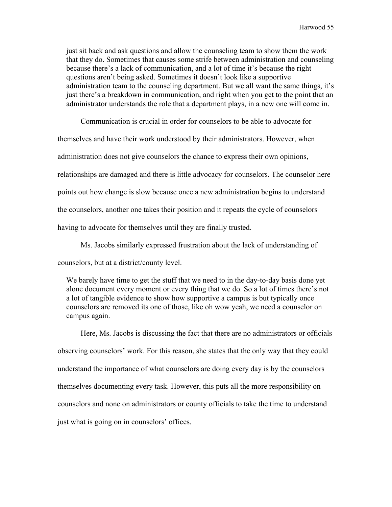just sit back and ask questions and allow the counseling team to show them the work that they do. Sometimes that causes some strife between administration and counseling because there's a lack of communication, and a lot of time it's because the right questions aren't being asked. Sometimes it doesn't look like a supportive administration team to the counseling department. But we all want the same things, it's just there's a breakdown in communication, and right when you get to the point that an administrator understands the role that a department plays, in a new one will come in.

Communication is crucial in order for counselors to be able to advocate for

themselves and have their work understood by their administrators. However, when

administration does not give counselors the chance to express their own opinions,

relationships are damaged and there is little advocacy for counselors. The counselor here

points out how change is slow because once a new administration begins to understand

the counselors, another one takes their position and it repeats the cycle of counselors

having to advocate for themselves until they are finally trusted.

Ms. Jacobs similarly expressed frustration about the lack of understanding of

counselors, but at a district/county level.

We barely have time to get the stuff that we need to in the day-to-day basis done yet alone document every moment or every thing that we do. So a lot of times there's not a lot of tangible evidence to show how supportive a campus is but typically once counselors are removed its one of those, like oh wow yeah, we need a counselor on campus again.

Here, Ms. Jacobs is discussing the fact that there are no administrators or officials observing counselors' work. For this reason, she states that the only way that they could understand the importance of what counselors are doing every day is by the counselors themselves documenting every task. However, this puts all the more responsibility on counselors and none on administrators or county officials to take the time to understand just what is going on in counselors' offices.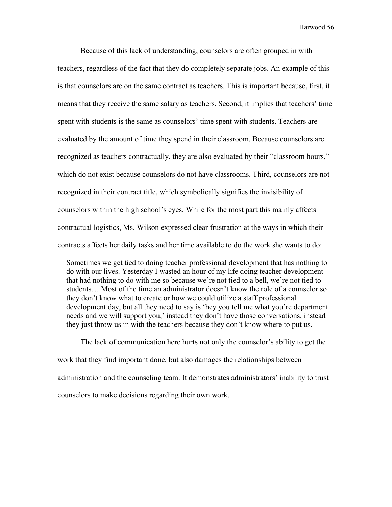Because of this lack of understanding, counselors are often grouped in with teachers, regardless of the fact that they do completely separate jobs. An example of this is that counselors are on the same contract as teachers. This is important because, first, it means that they receive the same salary as teachers. Second, it implies that teachers' time spent with students is the same as counselors' time spent with students. Teachers are evaluated by the amount of time they spend in their classroom. Because counselors are recognized as teachers contractually, they are also evaluated by their "classroom hours," which do not exist because counselors do not have classrooms. Third, counselors are not recognized in their contract title, which symbolically signifies the invisibility of counselors within the high school's eyes. While for the most part this mainly affects contractual logistics, Ms. Wilson expressed clear frustration at the ways in which their contracts affects her daily tasks and her time available to do the work she wants to do:

Sometimes we get tied to doing teacher professional development that has nothing to do with our lives. Yesterday I wasted an hour of my life doing teacher development that had nothing to do with me so because we're not tied to a bell, we're not tied to students… Most of the time an administrator doesn't know the role of a counselor so they don't know what to create or how we could utilize a staff professional development day, but all they need to say is 'hey you tell me what you're department needs and we will support you,' instead they don't have those conversations, instead they just throw us in with the teachers because they don't know where to put us.

The lack of communication here hurts not only the counselor's ability to get the work that they find important done, but also damages the relationships between administration and the counseling team. It demonstrates administrators' inability to trust counselors to make decisions regarding their own work.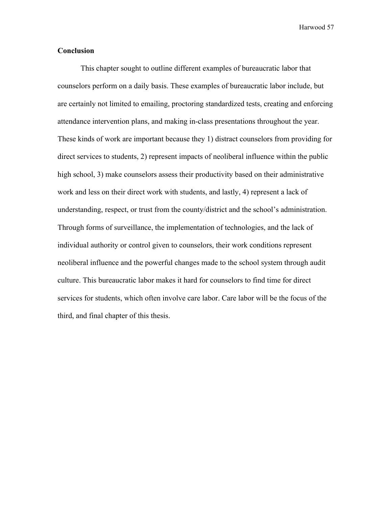# **Conclusion**

This chapter sought to outline different examples of bureaucratic labor that counselors perform on a daily basis. These examples of bureaucratic labor include, but are certainly not limited to emailing, proctoring standardized tests, creating and enforcing attendance intervention plans, and making in-class presentations throughout the year. These kinds of work are important because they 1) distract counselors from providing for direct services to students, 2) represent impacts of neoliberal influence within the public high school, 3) make counselors assess their productivity based on their administrative work and less on their direct work with students, and lastly, 4) represent a lack of understanding, respect, or trust from the county/district and the school's administration. Through forms of surveillance, the implementation of technologies, and the lack of individual authority or control given to counselors, their work conditions represent neoliberal influence and the powerful changes made to the school system through audit culture. This bureaucratic labor makes it hard for counselors to find time for direct services for students, which often involve care labor. Care labor will be the focus of the third, and final chapter of this thesis.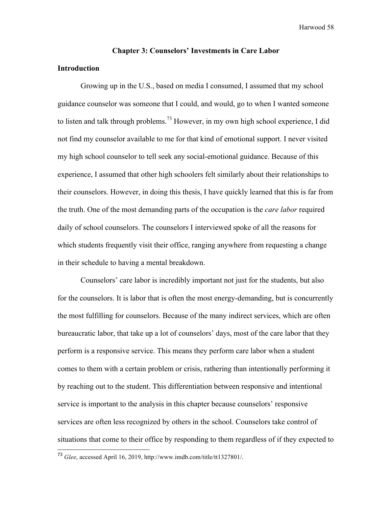#### **Chapter 3: Counselors' Investments in Care Labor**

# **Introduction**

Growing up in the U.S., based on media I consumed, I assumed that my school guidance counselor was someone that I could, and would, go to when I wanted someone to listen and talk through problems.<sup>73</sup> However, in my own high school experience, I did not find my counselor available to me for that kind of emotional support. I never visited my high school counselor to tell seek any social-emotional guidance. Because of this experience, I assumed that other high schoolers felt similarly about their relationships to their counselors. However, in doing this thesis, I have quickly learned that this is far from the truth. One of the most demanding parts of the occupation is the *care labor* required daily of school counselors. The counselors I interviewed spoke of all the reasons for which students frequently visit their office, ranging anywhere from requesting a change in their schedule to having a mental breakdown.

Counselors' care labor is incredibly important not just for the students, but also for the counselors. It is labor that is often the most energy-demanding, but is concurrently the most fulfilling for counselors. Because of the many indirect services, which are often bureaucratic labor, that take up a lot of counselors' days, most of the care labor that they perform is a responsive service. This means they perform care labor when a student comes to them with a certain problem or crisis, rathering than intentionally performing it by reaching out to the student. This differentiation between responsive and intentional service is important to the analysis in this chapter because counselors' responsive services are often less recognized by others in the school. Counselors take control of situations that come to their office by responding to them regardless of if they expected to

 <sup>73</sup> *Glee*, accessed April 16, 2019, http://www.imdb.com/title/tt1327801/.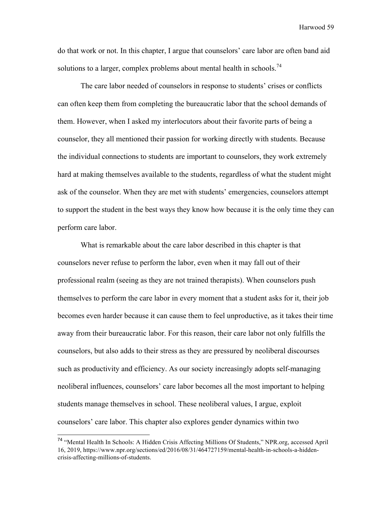do that work or not. In this chapter, I argue that counselors' care labor are often band aid solutions to a larger, complex problems about mental health in schools.<sup>74</sup>

The care labor needed of counselors in response to students' crises or conflicts can often keep them from completing the bureaucratic labor that the school demands of them. However, when I asked my interlocutors about their favorite parts of being a counselor, they all mentioned their passion for working directly with students. Because the individual connections to students are important to counselors, they work extremely hard at making themselves available to the students, regardless of what the student might ask of the counselor. When they are met with students' emergencies, counselors attempt to support the student in the best ways they know how because it is the only time they can perform care labor.

What is remarkable about the care labor described in this chapter is that counselors never refuse to perform the labor, even when it may fall out of their professional realm (seeing as they are not trained therapists). When counselors push themselves to perform the care labor in every moment that a student asks for it, their job becomes even harder because it can cause them to feel unproductive, as it takes their time away from their bureaucratic labor. For this reason, their care labor not only fulfills the counselors, but also adds to their stress as they are pressured by neoliberal discourses such as productivity and efficiency. As our society increasingly adopts self-managing neoliberal influences, counselors' care labor becomes all the most important to helping students manage themselves in school. These neoliberal values, I argue, exploit counselors' care labor. This chapter also explores gender dynamics within two

 <sup>74</sup> "Mental Health In Schools: A Hidden Crisis Affecting Millions Of Students," NPR.org, accessed April 16, 2019, https://www.npr.org/sections/ed/2016/08/31/464727159/mental-health-in-schools-a-hiddencrisis-affecting-millions-of-students.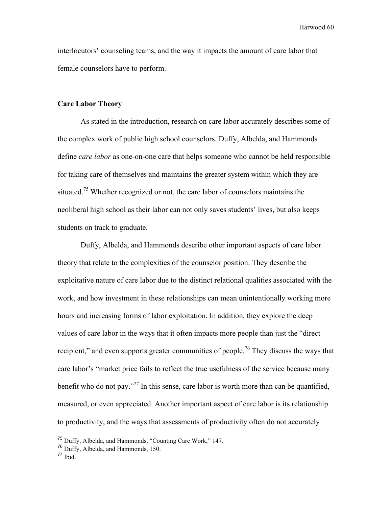interlocutors' counseling teams, and the way it impacts the amount of care labor that female counselors have to perform.

#### **Care Labor Theory**

As stated in the introduction, research on care labor accurately describes some of the complex work of public high school counselors. Duffy, Albelda, and Hammonds define *care labor* as one-on-one care that helps someone who cannot be held responsible for taking care of themselves and maintains the greater system within which they are situated.<sup>75</sup> Whether recognized or not, the care labor of counselors maintains the neoliberal high school as their labor can not only saves students' lives, but also keeps students on track to graduate.

Duffy, Albelda, and Hammonds describe other important aspects of care labor theory that relate to the complexities of the counselor position. They describe the exploitative nature of care labor due to the distinct relational qualities associated with the work, and how investment in these relationships can mean unintentionally working more hours and increasing forms of labor exploitation. In addition, they explore the deep values of care labor in the ways that it often impacts more people than just the "direct recipient," and even supports greater communities of people.<sup>76</sup> They discuss the ways that care labor's "market price fails to reflect the true usefulness of the service because many benefit who do not pay."<sup>77</sup> In this sense, care labor is worth more than can be quantified, measured, or even appreciated. Another important aspect of care labor is its relationship to productivity, and the ways that assessments of productivity often do not accurately

 <sup>75</sup> Duffy, Albelda, and Hammonds, "Counting Care Work," 147.

 $^{76}$  Duffy, Albelda, and Hammonds, 150.<br> $^{77}$  Ibid.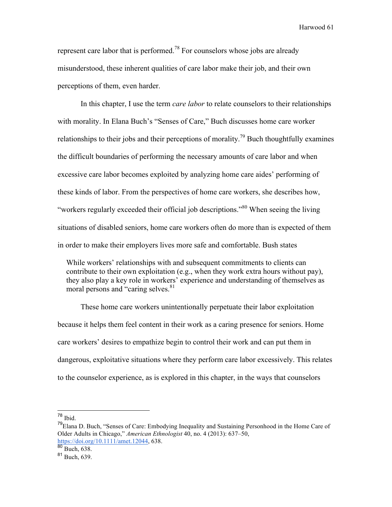represent care labor that is performed.<sup>78</sup> For counselors whose jobs are already misunderstood, these inherent qualities of care labor make their job, and their own perceptions of them, even harder.

In this chapter, I use the term *care labor* to relate counselors to their relationships with morality. In Elana Buch's "Senses of Care," Buch discusses home care worker relationships to their jobs and their perceptions of morality.<sup>79</sup> Buch thoughtfully examines the difficult boundaries of performing the necessary amounts of care labor and when excessive care labor becomes exploited by analyzing home care aides' performing of these kinds of labor. From the perspectives of home care workers, she describes how, "workers regularly exceeded their official job descriptions."<sup>80</sup> When seeing the living situations of disabled seniors, home care workers often do more than is expected of them in order to make their employers lives more safe and comfortable. Bush states

While workers' relationships with and subsequent commitments to clients can contribute to their own exploitation (e.g., when they work extra hours without pay), they also play a key role in workers' experience and understanding of themselves as moral persons and "caring selves.<sup>81</sup>

These home care workers unintentionally perpetuate their labor exploitation because it helps them feel content in their work as a caring presence for seniors. Home care workers' desires to empathize begin to control their work and can put them in dangerous, exploitative situations where they perform care labor excessively. This relates to the counselor experience, as is explored in this chapter, in the ways that counselors

78 Ibid.

<sup>79</sup>Elana D. Buch, "Senses of Care: Embodying Inequality and Sustaining Personhood in the Home Care of Older Adults in Chicago," *American Ethnologist* 40, no. 4 (2013): 637–50, https://doi.org/10.1111/amet.12044, 638.<br><sup>80</sup> Buch, 638.

<sup>81</sup> Buch, 639.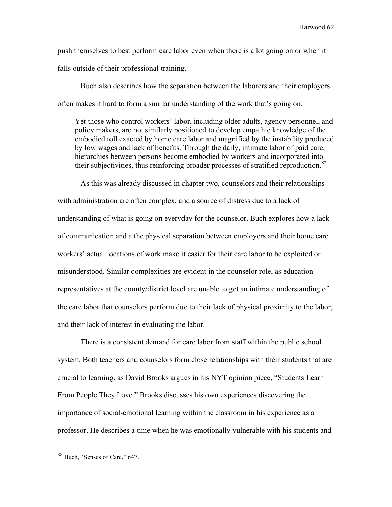push themselves to best perform care labor even when there is a lot going on or when it falls outside of their professional training.

Buch also describes how the separation between the laborers and their employers often makes it hard to form a similar understanding of the work that's going on:

Yet those who control workers' labor, including older adults, agency personnel, and policy makers, are not similarly positioned to develop empathic knowledge of the embodied toll exacted by home care labor and magnified by the instability produced by low wages and lack of benefits. Through the daily, intimate labor of paid care, hierarchies between persons become embodied by workers and incorporated into their subjectivities, thus reinforcing broader processes of stratified reproduction.<sup>82</sup>

As this was already discussed in chapter two, counselors and their relationships with administration are often complex, and a source of distress due to a lack of understanding of what is going on everyday for the counselor. Buch explores how a lack of communication and a the physical separation between employers and their home care workers' actual locations of work make it easier for their care labor to be exploited or misunderstood. Similar complexities are evident in the counselor role, as education representatives at the county/district level are unable to get an intimate understanding of the care labor that counselors perform due to their lack of physical proximity to the labor, and their lack of interest in evaluating the labor.

There is a consistent demand for care labor from staff within the public school system. Both teachers and counselors form close relationships with their students that are crucial to learning, as David Brooks argues in his NYT opinion piece, "Students Learn From People They Love." Brooks discusses his own experiences discovering the importance of social-emotional learning within the classroom in his experience as a professor. He describes a time when he was emotionally vulnerable with his students and

<sup>&</sup>lt;sup>82</sup> Buch, "Senses of Care," 647.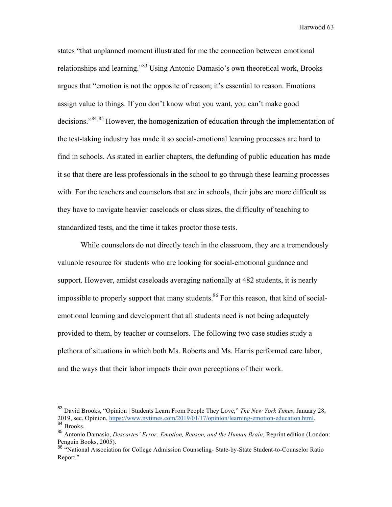states "that unplanned moment illustrated for me the connection between emotional relationships and learning."83 Using Antonio Damasio's own theoretical work, Brooks argues that "emotion is not the opposite of reason; it's essential to reason. Emotions assign value to things. If you don't know what you want, you can't make good decisions."<sup>84 85</sup> However, the homogenization of education through the implementation of the test-taking industry has made it so social-emotional learning processes are hard to find in schools. As stated in earlier chapters, the defunding of public education has made it so that there are less professionals in the school to go through these learning processes with. For the teachers and counselors that are in schools, their jobs are more difficult as they have to navigate heavier caseloads or class sizes, the difficulty of teaching to standardized tests, and the time it takes proctor those tests.

While counselors do not directly teach in the classroom, they are a tremendously valuable resource for students who are looking for social-emotional guidance and support. However, amidst caseloads averaging nationally at 482 students, it is nearly impossible to properly support that many students.<sup>86</sup> For this reason, that kind of socialemotional learning and development that all students need is not being adequately provided to them, by teacher or counselors. The following two case studies study a plethora of situations in which both Ms. Roberts and Ms. Harris performed care labor, and the ways that their labor impacts their own perceptions of their work.

 <sup>83</sup> David Brooks, "Opinion | Students Learn From People They Love," *The New York Times*, January 28, 2019, sec. Opinion, https://www.nytimes.com/2019/01/17/opinion/learning-emotion-education.html. <sup>84</sup> Brooks. 85 Antonio Damasio, *Descartes' Error: Emotion, Reason, and the Human Brain*, Reprint edition (London:

Penguin Books, 2005).

<sup>86 &</sup>quot;National Association for College Admission Counseling- State-by-State Student-to-Counselor Ratio Report."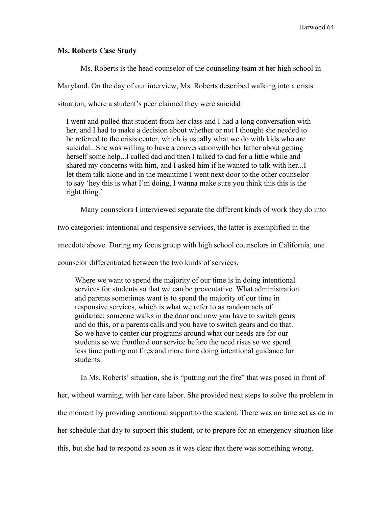## **Ms. Roberts Case Study**

Ms. Roberts is the head counselor of the counseling team at her high school in Maryland. On the day of our interview, Ms. Roberts described walking into a crisis situation, where a student's peer claimed they were suicidal:

I went and pulled that student from her class and I had a long conversation with her, and I had to make a decision about whether or not I thought she needed to be referred to the crisis center, which is usually what we do with kids who are suicidal...She was willing to have a conversationwith her father about getting herself some help...I called dad and then I talked to dad for a little while and shared my concerns with him, and I asked him if he wanted to talk with her...I let them talk alone and in the meantime I went next door to the other counselor to say 'hey this is what I'm doing, I wanna make sure you think this this is the right thing.'

Many counselors I interviewed separate the different kinds of work they do into

two categories: intentional and responsive services, the latter is exemplified in the

anecdote above. During my focus group with high school counselors in California, one

counselor differentiated between the two kinds of services.

Where we want to spend the majority of our time is in doing intentional services for students so that we can be preventative. What administration and parents sometimes want is to spend the majority of our time in responsive services, which is what we refer to as random acts of guidance; someone walks in the door and now you have to switch gears and do this, or a parents calls and you have to switch gears and do that. So we have to center our programs around what our needs are for our students so we frontload our service before the need rises so we spend less time putting out fires and more time doing intentional guidance for students.

In Ms. Roberts' situation, she is "putting out the fire" that was posed in front of her, without warning, with her care labor. She provided next steps to solve the problem in the moment by providing emotional support to the student. There was no time set aside in her schedule that day to support this student, or to prepare for an emergency situation like this, but she had to respond as soon as it was clear that there was something wrong.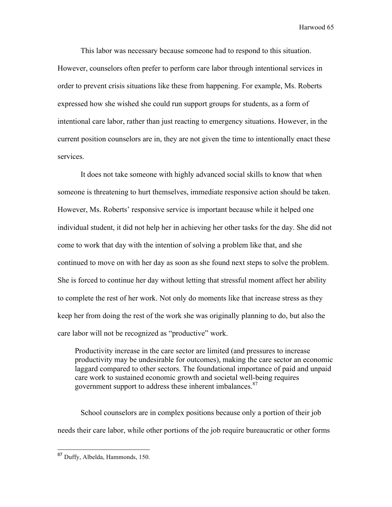This labor was necessary because someone had to respond to this situation. However, counselors often prefer to perform care labor through intentional services in order to prevent crisis situations like these from happening. For example, Ms. Roberts expressed how she wished she could run support groups for students, as a form of intentional care labor, rather than just reacting to emergency situations. However, in the current position counselors are in, they are not given the time to intentionally enact these services.

It does not take someone with highly advanced social skills to know that when someone is threatening to hurt themselves, immediate responsive action should be taken. However, Ms. Roberts' responsive service is important because while it helped one individual student, it did not help her in achieving her other tasks for the day. She did not come to work that day with the intention of solving a problem like that, and she continued to move on with her day as soon as she found next steps to solve the problem. She is forced to continue her day without letting that stressful moment affect her ability to complete the rest of her work. Not only do moments like that increase stress as they keep her from doing the rest of the work she was originally planning to do, but also the care labor will not be recognized as "productive" work.

Productivity increase in the care sector are limited (and pressures to increase productivity may be undesirable for outcomes), making the care sector an economic laggard compared to other sectors. The foundational importance of paid and unpaid care work to sustained economic growth and societal well-being requires government support to address these inherent imbalances.<sup>87</sup>

School counselors are in complex positions because only a portion of their job needs their care labor, while other portions of the job require bureaucratic or other forms

 <sup>87</sup> Duffy, Albelda, Hammonds, 150.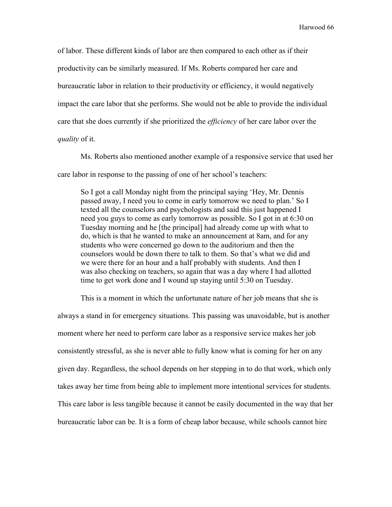of labor. These different kinds of labor are then compared to each other as if their productivity can be similarly measured. If Ms. Roberts compared her care and bureaucratic labor in relation to their productivity or efficiency, it would negatively impact the care labor that she performs. She would not be able to provide the individual care that she does currently if she prioritized the *efficiency* of her care labor over the *quality* of it.

Ms. Roberts also mentioned another example of a responsive service that used her care labor in response to the passing of one of her school's teachers:

So I got a call Monday night from the principal saying 'Hey, Mr. Dennis passed away, I need you to come in early tomorrow we need to plan.' So I texted all the counselors and psychologists and said this just happened I need you guys to come as early tomorrow as possible. So I got in at 6:30 on Tuesday morning and he [the principal] had already come up with what to do, which is that he wanted to make an announcement at 8am, and for any students who were concerned go down to the auditorium and then the counselors would be down there to talk to them. So that's what we did and we were there for an hour and a half probably with students. And then I was also checking on teachers, so again that was a day where I had allotted time to get work done and I wound up staying until 5:30 on Tuesday.

This is a moment in which the unfortunate nature of her job means that she is always a stand in for emergency situations. This passing was unavoidable, but is another moment where her need to perform care labor as a responsive service makes her job consistently stressful, as she is never able to fully know what is coming for her on any given day. Regardless, the school depends on her stepping in to do that work, which only takes away her time from being able to implement more intentional services for students. This care labor is less tangible because it cannot be easily documented in the way that her bureaucratic labor can be. It is a form of cheap labor because, while schools cannot hire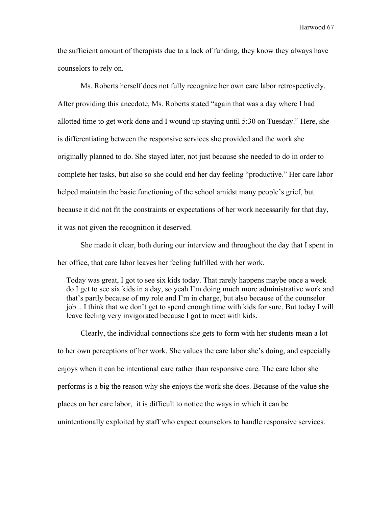the sufficient amount of therapists due to a lack of funding, they know they always have counselors to rely on.

Ms. Roberts herself does not fully recognize her own care labor retrospectively. After providing this anecdote, Ms. Roberts stated "again that was a day where I had allotted time to get work done and I wound up staying until 5:30 on Tuesday." Here, she is differentiating between the responsive services she provided and the work she originally planned to do. She stayed later, not just because she needed to do in order to complete her tasks, but also so she could end her day feeling "productive." Her care labor helped maintain the basic functioning of the school amidst many people's grief, but because it did not fit the constraints or expectations of her work necessarily for that day, it was not given the recognition it deserved.

She made it clear, both during our interview and throughout the day that I spent in her office, that care labor leaves her feeling fulfilled with her work.

Today was great, I got to see six kids today. That rarely happens maybe once a week do I get to see six kids in a day, so yeah I'm doing much more administrative work and that's partly because of my role and I'm in charge, but also because of the counselor job... I think that we don't get to spend enough time with kids for sure. But today I will leave feeling very invigorated because I got to meet with kids.

Clearly, the individual connections she gets to form with her students mean a lot to her own perceptions of her work. She values the care labor she's doing, and especially enjoys when it can be intentional care rather than responsive care. The care labor she performs is a big the reason why she enjoys the work she does. Because of the value she places on her care labor, it is difficult to notice the ways in which it can be unintentionally exploited by staff who expect counselors to handle responsive services.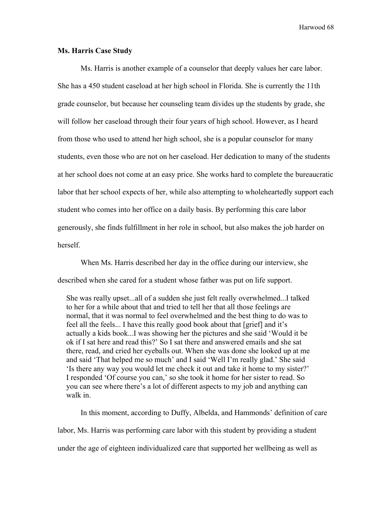## **Ms. Harris Case Study**

Ms. Harris is another example of a counselor that deeply values her care labor. She has a 450 student caseload at her high school in Florida. She is currently the 11th grade counselor, but because her counseling team divides up the students by grade, she will follow her caseload through their four years of high school. However, as I heard from those who used to attend her high school, she is a popular counselor for many students, even those who are not on her caseload. Her dedication to many of the students at her school does not come at an easy price. She works hard to complete the bureaucratic labor that her school expects of her, while also attempting to wholeheartedly support each student who comes into her office on a daily basis. By performing this care labor generously, she finds fulfillment in her role in school, but also makes the job harder on herself.

When Ms. Harris described her day in the office during our interview, she described when she cared for a student whose father was put on life support.

She was really upset...all of a sudden she just felt really overwhelmed...I talked to her for a while about that and tried to tell her that all those feelings are normal, that it was normal to feel overwhelmed and the best thing to do was to feel all the feels... I have this really good book about that [grief] and it's actually a kids book...I was showing her the pictures and she said 'Would it be ok if I sat here and read this?' So I sat there and answered emails and she sat there, read, and cried her eyeballs out. When she was done she looked up at me and said 'That helped me so much' and I said 'Well I'm really glad.' She said 'Is there any way you would let me check it out and take it home to my sister?' I responded 'Of course you can,' so she took it home for her sister to read. So you can see where there's a lot of different aspects to my job and anything can walk in.

In this moment, according to Duffy, Albelda, and Hammonds' definition of care labor, Ms. Harris was performing care labor with this student by providing a student under the age of eighteen individualized care that supported her wellbeing as well as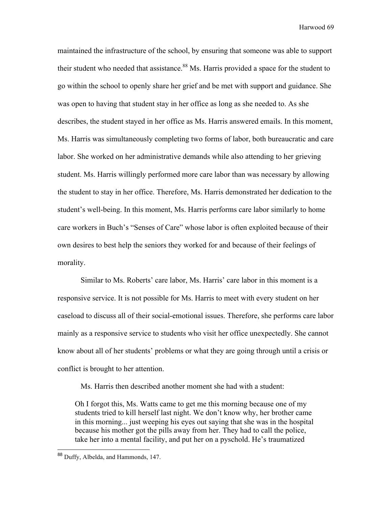maintained the infrastructure of the school, by ensuring that someone was able to support their student who needed that assistance.<sup>88</sup> Ms. Harris provided a space for the student to go within the school to openly share her grief and be met with support and guidance. She was open to having that student stay in her office as long as she needed to. As she describes, the student stayed in her office as Ms. Harris answered emails. In this moment, Ms. Harris was simultaneously completing two forms of labor, both bureaucratic and care labor. She worked on her administrative demands while also attending to her grieving student. Ms. Harris willingly performed more care labor than was necessary by allowing the student to stay in her office. Therefore, Ms. Harris demonstrated her dedication to the student's well-being. In this moment, Ms. Harris performs care labor similarly to home care workers in Buch's "Senses of Care" whose labor is often exploited because of their own desires to best help the seniors they worked for and because of their feelings of morality.

Similar to Ms. Roberts' care labor, Ms. Harris' care labor in this moment is a responsive service. It is not possible for Ms. Harris to meet with every student on her caseload to discuss all of their social-emotional issues. Therefore, she performs care labor mainly as a responsive service to students who visit her office unexpectedly. She cannot know about all of her students' problems or what they are going through until a crisis or conflict is brought to her attention.

Ms. Harris then described another moment she had with a student:

Oh I forgot this, Ms. Watts came to get me this morning because one of my students tried to kill herself last night. We don't know why, her brother came in this morning... just weeping his eyes out saying that she was in the hospital because his mother got the pills away from her. They had to call the police, take her into a mental facility, and put her on a pyschold. He's traumatized

 <sup>88</sup> Duffy, Albelda, and Hammonds, 147.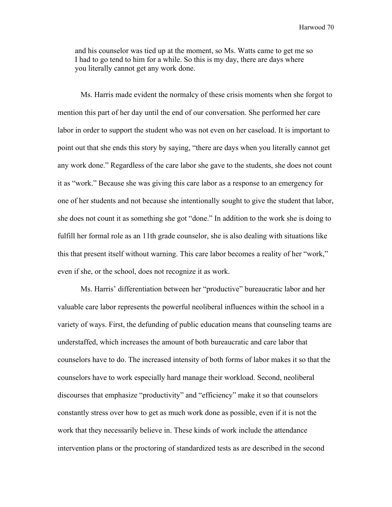and his counselor was tied up at the moment, so Ms. Watts came to get me so I had to go tend to him for a while. So this is my day, there are days where you literally cannot get any work done.

Ms. Harris made evident the normalcy of these crisis moments when she forgot to mention this part of her day until the end of our conversation. She performed her care labor in order to support the student who was not even on her caseload. It is important to point out that she ends this story by saying, "there are days when you literally cannot get any work done." Regardless of the care labor she gave to the students, she does not count it as "work." Because she was giving this care labor as a response to an emergency for one of her students and not because she intentionally sought to give the student that labor, she does not count it as something she got "done." In addition to the work she is doing to fulfill her formal role as an 11th grade counselor, she is also dealing with situations like this that present itself without warning. This care labor becomes a reality of her "work," even if she, or the school, does not recognize it as work.

Ms. Harris' differentiation between her "productive" bureaucratic labor and her valuable care labor represents the powerful neoliberal influences within the school in a variety of ways. First, the defunding of public education means that counseling teams are understaffed, which increases the amount of both bureaucratic and care labor that counselors have to do. The increased intensity of both forms of labor makes it so that the counselors have to work especially hard manage their workload. Second, neoliberal discourses that emphasize "productivity" and "efficiency" make it so that counselors constantly stress over how to get as much work done as possible, even if it is not the work that they necessarily believe in. These kinds of work include the attendance intervention plans or the proctoring of standardized tests as are described in the second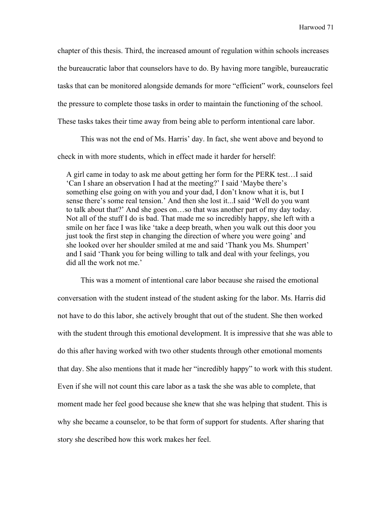chapter of this thesis. Third, the increased amount of regulation within schools increases the bureaucratic labor that counselors have to do. By having more tangible, bureaucratic tasks that can be monitored alongside demands for more "efficient" work, counselors feel the pressure to complete those tasks in order to maintain the functioning of the school. These tasks takes their time away from being able to perform intentional care labor.

This was not the end of Ms. Harris' day. In fact, she went above and beyond to check in with more students, which in effect made it harder for herself:

A girl came in today to ask me about getting her form for the PERK test…I said 'Can I share an observation I had at the meeting?' I said 'Maybe there's something else going on with you and your dad, I don't know what it is, but I sense there's some real tension.' And then she lost it...I said 'Well do you want to talk about that?' And she goes on…so that was another part of my day today. Not all of the stuff I do is bad. That made me so incredibly happy, she left with a smile on her face I was like 'take a deep breath, when you walk out this door you just took the first step in changing the direction of where you were going' and she looked over her shoulder smiled at me and said 'Thank you Ms. Shumpert' and I said 'Thank you for being willing to talk and deal with your feelings, you did all the work not me.'

This was a moment of intentional care labor because she raised the emotional conversation with the student instead of the student asking for the labor. Ms. Harris did not have to do this labor, she actively brought that out of the student. She then worked with the student through this emotional development. It is impressive that she was able to do this after having worked with two other students through other emotional moments that day. She also mentions that it made her "incredibly happy" to work with this student. Even if she will not count this care labor as a task the she was able to complete, that moment made her feel good because she knew that she was helping that student. This is why she became a counselor, to be that form of support for students. After sharing that story she described how this work makes her feel.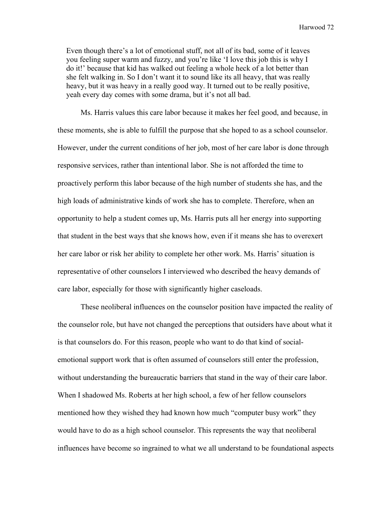Even though there's a lot of emotional stuff, not all of its bad, some of it leaves you feeling super warm and fuzzy, and you're like 'I love this job this is why I do it!' because that kid has walked out feeling a whole heck of a lot better than she felt walking in. So I don't want it to sound like its all heavy, that was really heavy, but it was heavy in a really good way. It turned out to be really positive, yeah every day comes with some drama, but it's not all bad.

Ms. Harris values this care labor because it makes her feel good, and because, in these moments, she is able to fulfill the purpose that she hoped to as a school counselor. However, under the current conditions of her job, most of her care labor is done through responsive services, rather than intentional labor. She is not afforded the time to proactively perform this labor because of the high number of students she has, and the high loads of administrative kinds of work she has to complete. Therefore, when an opportunity to help a student comes up, Ms. Harris puts all her energy into supporting that student in the best ways that she knows how, even if it means she has to overexert her care labor or risk her ability to complete her other work. Ms. Harris' situation is representative of other counselors I interviewed who described the heavy demands of care labor, especially for those with significantly higher caseloads.

These neoliberal influences on the counselor position have impacted the reality of the counselor role, but have not changed the perceptions that outsiders have about what it is that counselors do. For this reason, people who want to do that kind of socialemotional support work that is often assumed of counselors still enter the profession, without understanding the bureaucratic barriers that stand in the way of their care labor. When I shadowed Ms. Roberts at her high school, a few of her fellow counselors mentioned how they wished they had known how much "computer busy work" they would have to do as a high school counselor. This represents the way that neoliberal influences have become so ingrained to what we all understand to be foundational aspects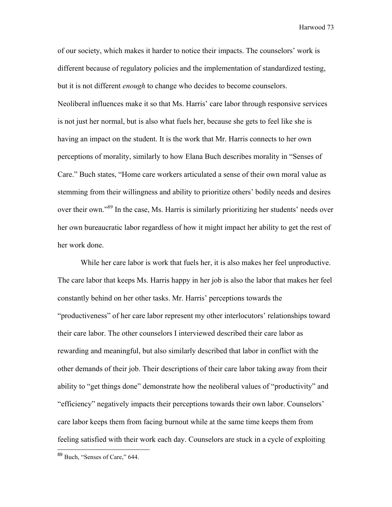of our society, which makes it harder to notice their impacts. The counselors' work is different because of regulatory policies and the implementation of standardized testing, but it is not different *enough* to change who decides to become counselors. Neoliberal influences make it so that Ms. Harris' care labor through responsive services is not just her normal, but is also what fuels her, because she gets to feel like she is having an impact on the student. It is the work that Mr. Harris connects to her own perceptions of morality, similarly to how Elana Buch describes morality in "Senses of Care." Buch states, "Home care workers articulated a sense of their own moral value as stemming from their willingness and ability to prioritize others' bodily needs and desires over their own."<sup>89</sup> In the case, Ms. Harris is similarly prioritizing her students' needs over her own bureaucratic labor regardless of how it might impact her ability to get the rest of her work done.

While her care labor is work that fuels her, it is also makes her feel unproductive. The care labor that keeps Ms. Harris happy in her job is also the labor that makes her feel constantly behind on her other tasks. Mr. Harris' perceptions towards the "productiveness" of her care labor represent my other interlocutors' relationships toward their care labor. The other counselors I interviewed described their care labor as rewarding and meaningful, but also similarly described that labor in conflict with the other demands of their job. Their descriptions of their care labor taking away from their ability to "get things done" demonstrate how the neoliberal values of "productivity" and "efficiency" negatively impacts their perceptions towards their own labor. Counselors' care labor keeps them from facing burnout while at the same time keeps them from feeling satisfied with their work each day. Counselors are stuck in a cycle of exploiting

 <sup>89</sup> Buch, "Senses of Care," 644.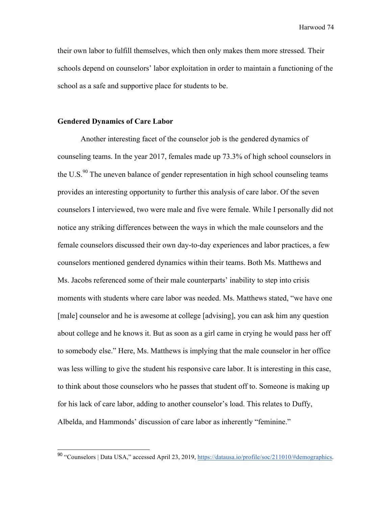their own labor to fulfill themselves, which then only makes them more stressed. Their schools depend on counselors' labor exploitation in order to maintain a functioning of the school as a safe and supportive place for students to be.

#### **Gendered Dynamics of Care Labor**

Another interesting facet of the counselor job is the gendered dynamics of counseling teams. In the year 2017, females made up 73.3% of high school counselors in the U.S. $^{90}$  The uneven balance of gender representation in high school counseling teams provides an interesting opportunity to further this analysis of care labor. Of the seven counselors I interviewed, two were male and five were female. While I personally did not notice any striking differences between the ways in which the male counselors and the female counselors discussed their own day-to-day experiences and labor practices, a few counselors mentioned gendered dynamics within their teams. Both Ms. Matthews and Ms. Jacobs referenced some of their male counterparts' inability to step into crisis moments with students where care labor was needed. Ms. Matthews stated, "we have one [male] counselor and he is awesome at college [advising], you can ask him any question about college and he knows it. But as soon as a girl came in crying he would pass her off to somebody else." Here, Ms. Matthews is implying that the male counselor in her office was less willing to give the student his responsive care labor. It is interesting in this case, to think about those counselors who he passes that student off to. Someone is making up for his lack of care labor, adding to another counselor's load. This relates to Duffy, Albelda, and Hammonds' discussion of care labor as inherently "feminine."

 <sup>90</sup> "Counselors | Data USA," accessed April 23, 2019, https://datausa.io/profile/soc/211010/#demographics.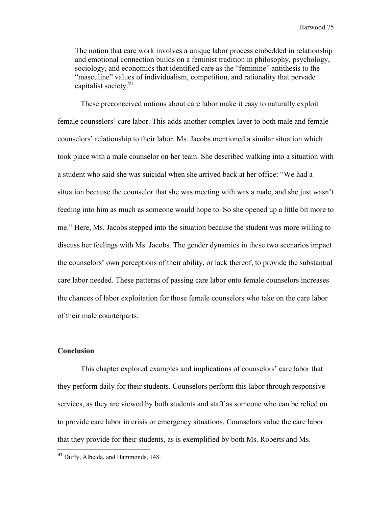The notion that care work involves a unique labor process embedded in relationship and emotional connection builds on a feminist tradition in philosophy, psychology, sociology, and economics that identified care as the "feminine" antithesis to the "masculine" values of individualism, competition, and rationality that pervade capitalist society.<sup>91</sup>

These preconceived notions about care labor make it easy to naturally exploit female counselors' care labor. This adds another complex layer to both male and female counselors' relationship to their labor. Ms. Jacobs mentioned a similar situation which took place with a male counselor on her team. She described walking into a situation with a student who said she was suicidal when she arrived back at her office: "We had a situation because the counselor that she was meeting with was a male, and she just wasn't feeding into him as much as someone would hope to. So she opened up a little bit more to me." Here, Ms. Jacobs stepped into the situation because the student was more willing to discuss her feelings with Ms. Jacobs. The gender dynamics in these two scenarios impact the counselors' own perceptions of their ability, or lack thereof, to provide the substantial care labor needed. These patterns of passing care labor onto female counselors increases the chances of labor exploitation for those female counselors who take on the care labor of their male counterparts.

### **Conclusion**

This chapter explored examples and implications of counselors' care labor that they perform daily for their students. Counselors perform this labor through responsive services, as they are viewed by both students and staff as someone who can be relied on to provide care labor in crisis or emergency situations. Counselors value the care labor that they provide for their students, as is exemplified by both Ms. Roberts and Ms.

 <sup>91</sup> Duffy, Albelda, and Hammonds, 148.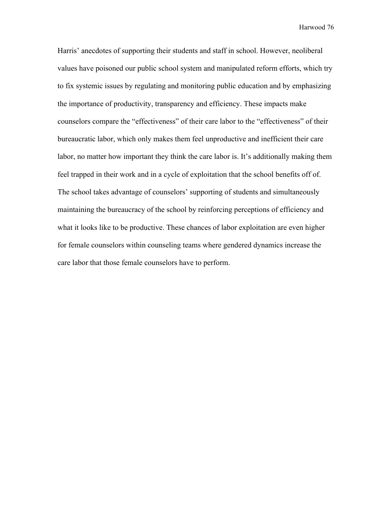Harris' anecdotes of supporting their students and staff in school. However, neoliberal values have poisoned our public school system and manipulated reform efforts, which try to fix systemic issues by regulating and monitoring public education and by emphasizing the importance of productivity, transparency and efficiency. These impacts make counselors compare the "effectiveness" of their care labor to the "effectiveness" of their bureaucratic labor, which only makes them feel unproductive and inefficient their care labor, no matter how important they think the care labor is. It's additionally making them feel trapped in their work and in a cycle of exploitation that the school benefits off of. The school takes advantage of counselors' supporting of students and simultaneously maintaining the bureaucracy of the school by reinforcing perceptions of efficiency and what it looks like to be productive. These chances of labor exploitation are even higher for female counselors within counseling teams where gendered dynamics increase the care labor that those female counselors have to perform.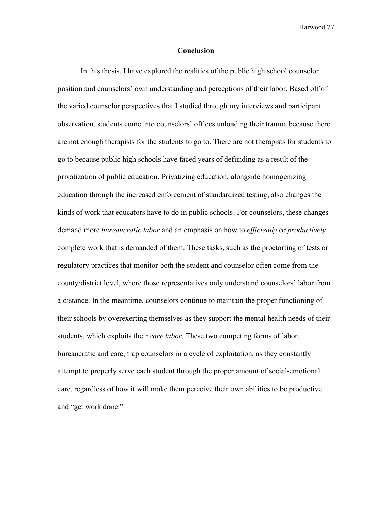#### **Conclusion**

In this thesis, I have explored the realities of the public high school counselor position and counselors' own understanding and perceptions of their labor. Based off of the varied counselor perspectives that I studied through my interviews and participant observation, students come into counselors' offices unloading their trauma because there are not enough therapists for the students to go to. There are not therapists for students to go to because public high schools have faced years of defunding as a result of the privatization of public education. Privatizing education, alongside homogenizing education through the increased enforcement of standardized testing, also changes the kinds of work that educators have to do in public schools. For counselors, these changes demand more *bureaucratic labor* and an emphasis on how to *efficiently* or *productively* complete work that is demanded of them. These tasks, such as the proctorting of tests or regulatory practices that monitor both the student and counselor often come from the county/district level, where those representatives only understand counselors' labor from a distance. In the meantime, counselors continue to maintain the proper functioning of their schools by overexerting themselves as they support the mental health needs of their students, which exploits their *care labor*. These two competing forms of labor, bureaucratic and care, trap counselors in a cycle of exploitation, as they constantly attempt to properly serve each student through the proper amount of social-emotional care, regardless of how it will make them perceive their own abilities to be productive and "get work done."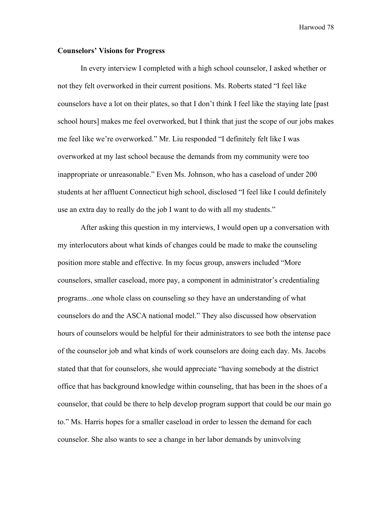## **Counselors' Visions for Progress**

In every interview I completed with a high school counselor, I asked whether or not they felt overworked in their current positions. Ms. Roberts stated "I feel like counselors have a lot on their plates, so that I don't think I feel like the staying late [past school hours] makes me feel overworked, but I think that just the scope of our jobs makes me feel like we're overworked." Mr. Liu responded "I definitely felt like I was overworked at my last school because the demands from my community were too inappropriate or unreasonable." Even Ms. Johnson, who has a caseload of under 200 students at her affluent Connecticut high school, disclosed "I feel like I could definitely use an extra day to really do the job I want to do with all my students."

After asking this question in my interviews, I would open up a conversation with my interlocutors about what kinds of changes could be made to make the counseling position more stable and effective. In my focus group, answers included "More counselors, smaller caseload, more pay, a component in administrator's credentialing programs...one whole class on counseling so they have an understanding of what counselors do and the ASCA national model." They also discussed how observation hours of counselors would be helpful for their administrators to see both the intense pace of the counselor job and what kinds of work counselors are doing each day. Ms. Jacobs stated that that for counselors, she would appreciate "having somebody at the district office that has background knowledge within counseling, that has been in the shoes of a counselor, that could be there to help develop program support that could be our main go to." Ms. Harris hopes for a smaller caseload in order to lessen the demand for each counselor. She also wants to see a change in her labor demands by uninvolving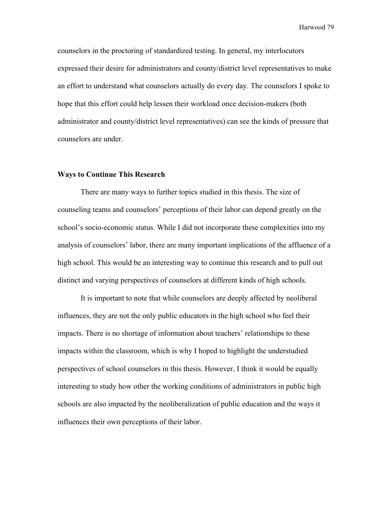counselors in the proctoring of standardized testing. In general, my interlocutors expressed their desire for administrators and county/district level representatives to make an effort to understand what counselors actually do every day. The counselors I spoke to hope that this effort could help lessen their workload once decision-makers (both administrator and county/district level representatives) can see the kinds of pressure that counselors are under.

# **Ways to Continue This Research**

There are many ways to further topics studied in this thesis. The size of counseling teams and counselors' perceptions of their labor can depend greatly on the school's socio-economic status. While I did not incorporate these complexities into my analysis of counselors' labor, there are many important implications of the affluence of a high school. This would be an interesting way to continue this research and to pull out distinct and varying perspectives of counselors at different kinds of high schools.

It is important to note that while counselors are deeply affected by neoliberal influences, they are not the only public educators in the high school who feel their impacts. There is no shortage of information about teachers' relationships to these impacts within the classroom, which is why I hoped to highlight the understudied perspectives of school counselors in this thesis. However, I think it would be equally interesting to study how other the working conditions of administrators in public high schools are also impacted by the neoliberalization of public education and the ways it influences their own perceptions of their labor.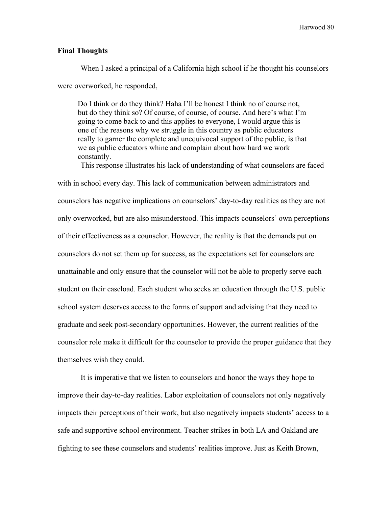## **Final Thoughts**

When I asked a principal of a California high school if he thought his counselors were overworked, he responded,

Do I think or do they think? Haha I'll be honest I think no of course not, but do they think so? Of course, of course, of course. And here's what I'm going to come back to and this applies to everyone, I would argue this is one of the reasons why we struggle in this country as public educators really to garner the complete and unequivocal support of the public, is that we as public educators whine and complain about how hard we work constantly.

This response illustrates his lack of understanding of what counselors are faced

with in school every day. This lack of communication between administrators and counselors has negative implications on counselors' day-to-day realities as they are not only overworked, but are also misunderstood. This impacts counselors' own perceptions of their effectiveness as a counselor. However, the reality is that the demands put on counselors do not set them up for success, as the expectations set for counselors are unattainable and only ensure that the counselor will not be able to properly serve each student on their caseload. Each student who seeks an education through the U.S. public school system deserves access to the forms of support and advising that they need to graduate and seek post-secondary opportunities. However, the current realities of the counselor role make it difficult for the counselor to provide the proper guidance that they themselves wish they could.

It is imperative that we listen to counselors and honor the ways they hope to improve their day-to-day realities. Labor exploitation of counselors not only negatively impacts their perceptions of their work, but also negatively impacts students' access to a safe and supportive school environment. Teacher strikes in both LA and Oakland are fighting to see these counselors and students' realities improve. Just as Keith Brown,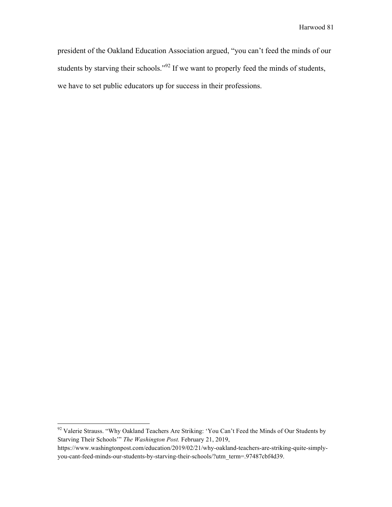president of the Oakland Education Association argued, "you can't feed the minds of our students by starving their schools."<sup>92</sup> If we want to properly feed the minds of students, we have to set public educators up for success in their professions.

<sup>&</sup>lt;sup>92</sup> Valerie Strauss. "Why Oakland Teachers Are Striking: 'You Can't Feed the Minds of Our Students by Starving Their Schools'" *The Washington Post.* February 21, 2019,

https://www.washingtonpost.com/education/2019/02/21/why-oakland-teachers-are-striking-quite-simplyyou-cant-feed-minds-our-students-by-starving-their-schools/?utm\_term=.97487cbf4d39.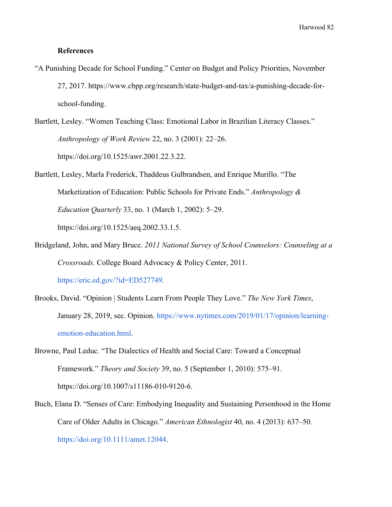### **References**

- "A Punishing Decade for School Funding." Center on Budget and Policy Priorities, November 27, 2017. https://www.cbpp.org/research/state-budget-and-tax/a-punishing-decade-forschool-funding.
- Bartlett, Lesley. "Women Teaching Class: Emotional Labor in Brazilian Literacy Classes." *Anthropology of Work Review* 22, no. 3 (2001): 22–26. https://doi.org/10.1525/awr.2001.22.3.22.
- Bartlett, Lesley, Marla Frederick, Thaddeus Gulbrandsen, and Enrique Murillo. "The Marketization of Education: Public Schools for Private Ends." *Anthropology & Education Quarterly* 33, no. 1 (March 1, 2002): 5–29. https://doi.org/10.1525/aeq.2002.33.1.5.
- Bridgeland, John, and Mary Bruce. *2011 National Survey of School Counselors: Counseling at a Crossroads*. College Board Advocacy & Policy Center, 2011. https://eric.ed.gov/?id=ED527749.
- Brooks, David. "Opinion | Students Learn From People They Love." *The New York Times*, January 28, 2019, sec. Opinion. https://www.nytimes.com/2019/01/17/opinion/learningemotion-education.html.
- Browne, Paul Leduc. "The Dialectics of Health and Social Care: Toward a Conceptual Framework." *Theory and Society* 39, no. 5 (September 1, 2010): 575–91. https://doi.org/10.1007/s11186-010-9120-6.
- Buch, Elana D. "Senses of Care: Embodying Inequality and Sustaining Personhood in the Home Care of Older Adults in Chicago." *American Ethnologist* 40, no. 4 (2013): 637–50. https://doi.org/10.1111/amet.12044.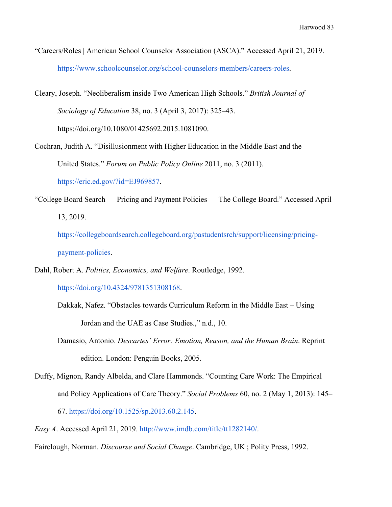- "Careers/Roles | American School Counselor Association (ASCA)." Accessed April 21, 2019. https://www.schoolcounselor.org/school-counselors-members/careers-roles.
- Cleary, Joseph. "Neoliberalism inside Two American High Schools." *British Journal of Sociology of Education* 38, no. 3 (April 3, 2017): 325–43. https://doi.org/10.1080/01425692.2015.1081090.
- Cochran, Judith A. "Disillusionment with Higher Education in the Middle East and the United States." *Forum on Public Policy Online* 2011, no. 3 (2011).

https://eric.ed.gov/?id=EJ969857.

"College Board Search — Pricing and Payment Policies — The College Board." Accessed April 13, 2019.

https://collegeboardsearch.collegeboard.org/pastudentsrch/support/licensing/pricingpayment-policies.

Dahl, Robert A. *Politics, Economics, and Welfare*. Routledge, 1992.

https://doi.org/10.4324/9781351308168.

- Dakkak, Nafez. "Obstacles towards Curriculum Reform in the Middle East Using Jordan and the UAE as Case Studies.," n.d., 10.
- Damasio, Antonio. *Descartes' Error: Emotion, Reason, and the Human Brain*. Reprint edition. London: Penguin Books, 2005.
- Duffy, Mignon, Randy Albelda, and Clare Hammonds. "Counting Care Work: The Empirical and Policy Applications of Care Theory." *Social Problems* 60, no. 2 (May 1, 2013): 145– 67. https://doi.org/10.1525/sp.2013.60.2.145.
- *Easy A*. Accessed April 21, 2019. http://www.imdb.com/title/tt1282140/.
- Fairclough, Norman. *Discourse and Social Change*. Cambridge, UK ; Polity Press, 1992.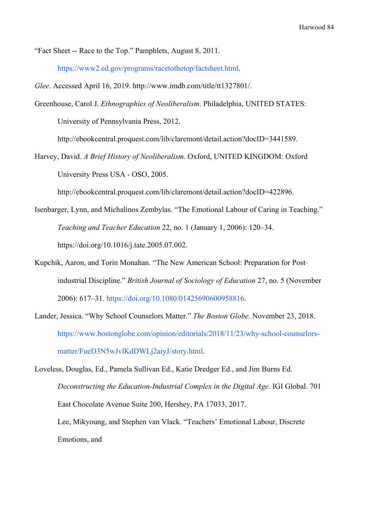"Fact Sheet -- Race to the Top." Pamphlets, August 8, 2011.

https://www2.ed.gov/programs/racetothetop/factsheet.html.

*Glee*. Accessed April 16, 2019. http://www.imdb.com/title/tt1327801/.

Greenhouse, Carol J. *Ethnographies of Neoliberalism*. Philadelphia, UNITED STATES: University of Pennsylvania Press, 2012.

http://ebookcentral.proquest.com/lib/claremont/detail.action?docID=3441589.

Harvey, David. *A Brief History of Neoliberalism*. Oxford, UNITED KINGDOM: Oxford University Press USA - OSO, 2005.

http://ebookcentral.proquest.com/lib/claremont/detail.action?docID=422896.

- Isenbarger, Lynn, and Michalinos Zembylas. "The Emotional Labour of Caring in Teaching." *Teaching and Teacher Education* 22, no. 1 (January 1, 2006): 120–34. https://doi.org/10.1016/j.tate.2005.07.002.
- Kupchik, Aaron, and Torin Monahan. "The New American School: Preparation for Postindustrial Discipline." *British Journal of Sociology of Education* 27, no. 5 (November 2006): 617–31. https://doi.org/10.1080/01425690600958816.
- Lander, Jessica. "Why School Counselors Matter." *The Boston Globe.* November 23, 2018. https://www.bostonglobe.com/opinion/editorials/2018/11/23/why-school-counselorsmatter/FueD3N5wJvlKdDWLj2aiyJ/story.html.
- Loveless, Douglas, Ed., Pamela Sullivan Ed., Katie Dredger Ed., and Jim Burns Ed. *Deconstructing the Education-Industrial Complex in the Digital Age*. IGI Global. 701 East Chocolate Avenue Suite 200, Hershey, PA 17033, 2017. Lee, Mikyoung, and Stephen van Vlack. "Teachers' Emotional Labour, Discrete Emotions, and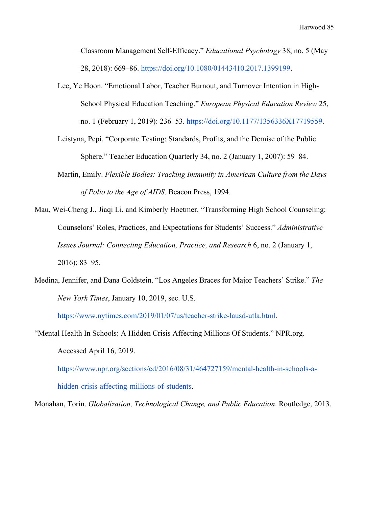Classroom Management Self-Efficacy." *Educational Psychology* 38, no. 5 (May 28, 2018): 669–86. https://doi.org/10.1080/01443410.2017.1399199.

Lee, Ye Hoon. "Emotional Labor, Teacher Burnout, and Turnover Intention in High-School Physical Education Teaching." *European Physical Education Review* 25, no. 1 (February 1, 2019): 236–53. https://doi.org/10.1177/1356336X17719559.

Leistyna, Pepi. "Corporate Testing: Standards, Profits, and the Demise of the Public Sphere." Teacher Education Quarterly 34, no. 2 (January 1, 2007): 59–84.

- Martin, Emily. *Flexible Bodies: Tracking Immunity in American Culture from the Days of Polio to the Age of AIDS*. Beacon Press, 1994.
- Mau, Wei-Cheng J., Jiaqi Li, and Kimberly Hoetmer. "Transforming High School Counseling: Counselors' Roles, Practices, and Expectations for Students' Success." *Administrative Issues Journal: Connecting Education, Practice, and Research* 6, no. 2 (January 1, 2016): 83–95.
- Medina, Jennifer, and Dana Goldstein. "Los Angeles Braces for Major Teachers' Strike." *The New York Times*, January 10, 2019, sec. U.S.

https://www.nytimes.com/2019/01/07/us/teacher-strike-lausd-utla.html.

"Mental Health In Schools: A Hidden Crisis Affecting Millions Of Students." NPR.org. Accessed April 16, 2019.

https://www.npr.org/sections/ed/2016/08/31/464727159/mental-health-in-schools-ahidden-crisis-affecting-millions-of-students.

Monahan, Torin. *Globalization, Technological Change, and Public Education*. Routledge, 2013.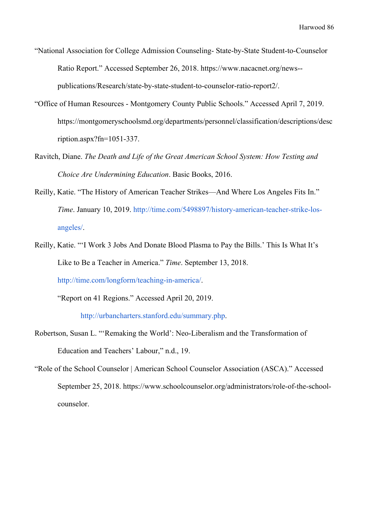- "National Association for College Admission Counseling- State-by-State Student-to-Counselor Ratio Report." Accessed September 26, 2018. https://www.nacacnet.org/news- publications/Research/state-by-state-student-to-counselor-ratio-report2/.
- "Office of Human Resources Montgomery County Public Schools." Accessed April 7, 2019. https://montgomeryschoolsmd.org/departments/personnel/classification/descriptions/desc ription.aspx?fn=1051-337.
- Ravitch, Diane. *The Death and Life of the Great American School System: How Testing and Choice Are Undermining Education*. Basic Books, 2016.
- Reilly, Katie. "The History of American Teacher Strikes—And Where Los Angeles Fits In." *Time*. January 10, 2019. http://time.com/5498897/history-american-teacher-strike-losangeles/.
- Reilly, Katie. "'I Work 3 Jobs And Donate Blood Plasma to Pay the Bills.' This Is What It's Like to Be a Teacher in America." *Time*. September 13, 2018. http://time.com/longform/teaching-in-america/.

"Report on 41 Regions." Accessed April 20, 2019.

http://urbancharters.stanford.edu/summary.php.

- Robertson, Susan L. "'Remaking the World': Neo-Liberalism and the Transformation of Education and Teachers' Labour," n.d., 19.
- "Role of the School Counselor | American School Counselor Association (ASCA)." Accessed September 25, 2018. https://www.schoolcounselor.org/administrators/role-of-the-schoolcounselor.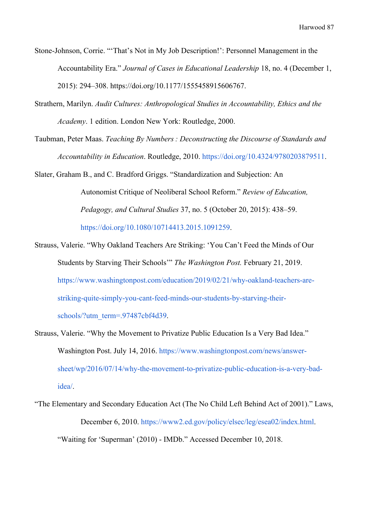- Stone-Johnson, Corrie. "'That's Not in My Job Description!': Personnel Management in the Accountability Era." *Journal of Cases in Educational Leadership* 18, no. 4 (December 1, 2015): 294–308. https://doi.org/10.1177/1555458915606767.
- Strathern, Marilyn. *Audit Cultures: Anthropological Studies in Accountability, Ethics and the Academy*. 1 edition. London New York: Routledge, 2000.
- Taubman, Peter Maas. *Teaching By Numbers : Deconstructing the Discourse of Standards and Accountability in Education*. Routledge, 2010. https://doi.org/10.4324/9780203879511.

Slater, Graham B., and C. Bradford Griggs. "Standardization and Subjection: An Autonomist Critique of Neoliberal School Reform." *Review of Education, Pedagogy, and Cultural Studies* 37, no. 5 (October 20, 2015): 438–59. https://doi.org/10.1080/10714413.2015.1091259.

- Strauss, Valerie. "Why Oakland Teachers Are Striking: 'You Can't Feed the Minds of Our Students by Starving Their Schools'" *The Washington Post.* February 21, 2019. https://www.washingtonpost.com/education/2019/02/21/why-oakland-teachers-arestriking-quite-simply-you-cant-feed-minds-our-students-by-starving-theirschools/?utm\_term=.97487cbf4d39.
- Strauss, Valerie. "Why the Movement to Privatize Public Education Is a Very Bad Idea." Washington Post. July 14, 2016. https://www.washingtonpost.com/news/answersheet/wp/2016/07/14/why-the-movement-to-privatize-public-education-is-a-very-badidea/.
- "The Elementary and Secondary Education Act (The No Child Left Behind Act of 2001)." Laws, December 6, 2010. https://www2.ed.gov/policy/elsec/leg/esea02/index.html. "Waiting for 'Superman' (2010) - IMDb." Accessed December 10, 2018.